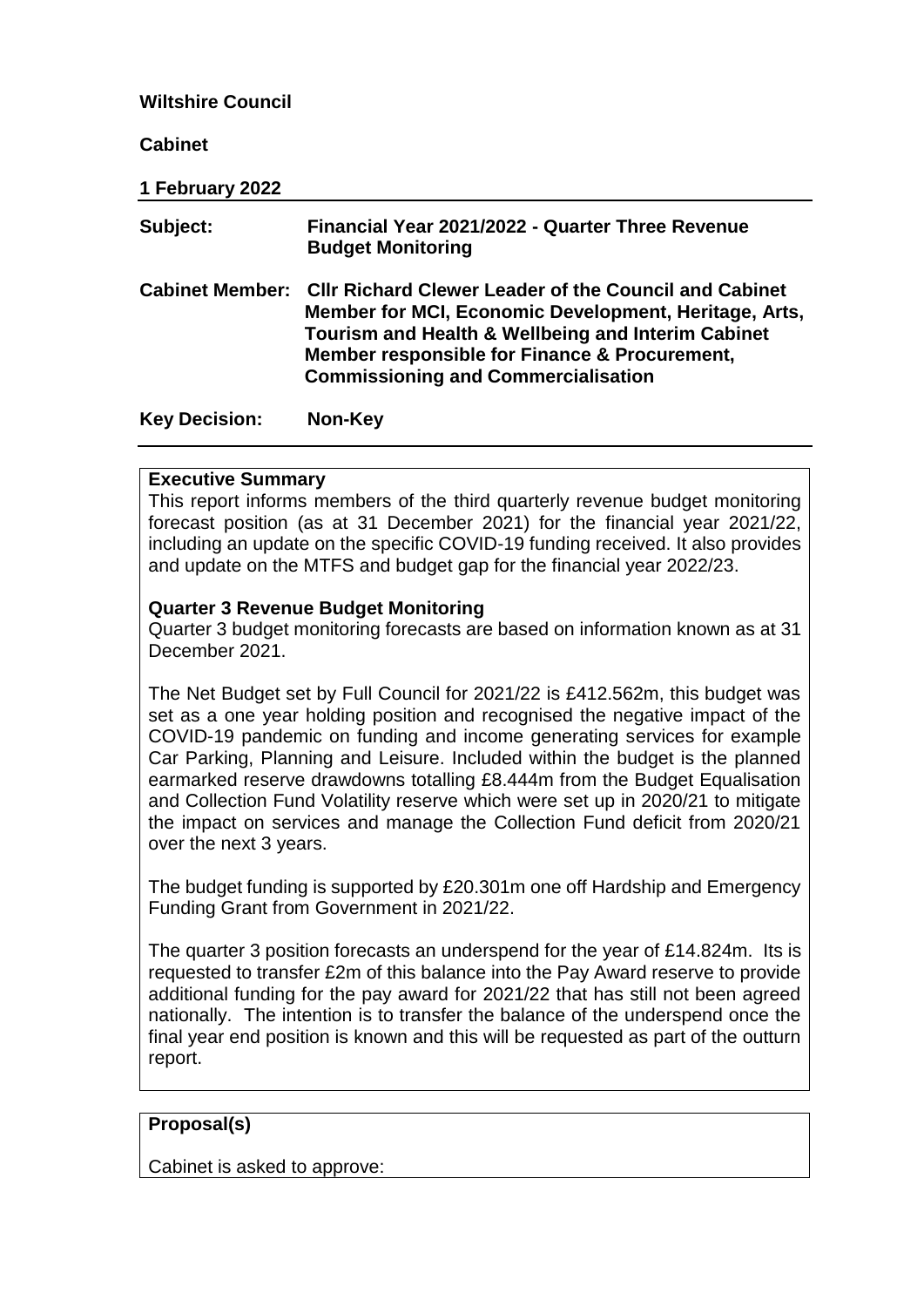#### **Wiltshire Council**

**Cabinet**

**1 February 2022**

| Subject:             | Financial Year 2021/2022 - Quarter Three Revenue<br><b>Budget Monitoring</b>                                                                                                                                                                                                        |
|----------------------|-------------------------------------------------------------------------------------------------------------------------------------------------------------------------------------------------------------------------------------------------------------------------------------|
|                      | Cabinet Member: Cllr Richard Clewer Leader of the Council and Cabinet<br>Member for MCI, Economic Development, Heritage, Arts,<br>Tourism and Health & Wellbeing and Interim Cabinet<br>Member responsible for Finance & Procurement,<br><b>Commissioning and Commercialisation</b> |
| <b>Key Decision:</b> | Non-Key                                                                                                                                                                                                                                                                             |

#### **Executive Summary**

This report informs members of the third quarterly revenue budget monitoring forecast position (as at 31 December 2021) for the financial year 2021/22, including an update on the specific COVID-19 funding received. It also provides and update on the MTFS and budget gap for the financial year 2022/23.

#### **Quarter 3 Revenue Budget Monitoring**

Quarter 3 budget monitoring forecasts are based on information known as at 31 December 2021.

The Net Budget set by Full Council for 2021/22 is £412.562m, this budget was set as a one year holding position and recognised the negative impact of the COVID-19 pandemic on funding and income generating services for example Car Parking, Planning and Leisure. Included within the budget is the planned earmarked reserve drawdowns totalling £8.444m from the Budget Equalisation and Collection Fund Volatility reserve which were set up in 2020/21 to mitigate the impact on services and manage the Collection Fund deficit from 2020/21 over the next 3 years.

The budget funding is supported by £20.301m one off Hardship and Emergency Funding Grant from Government in 2021/22.

The quarter 3 position forecasts an underspend for the year of £14.824m. Its is requested to transfer £2m of this balance into the Pay Award reserve to provide additional funding for the pay award for 2021/22 that has still not been agreed nationally. The intention is to transfer the balance of the underspend once the final year end position is known and this will be requested as part of the outturn report.

#### **Proposal(s)**

Cabinet is asked to approve: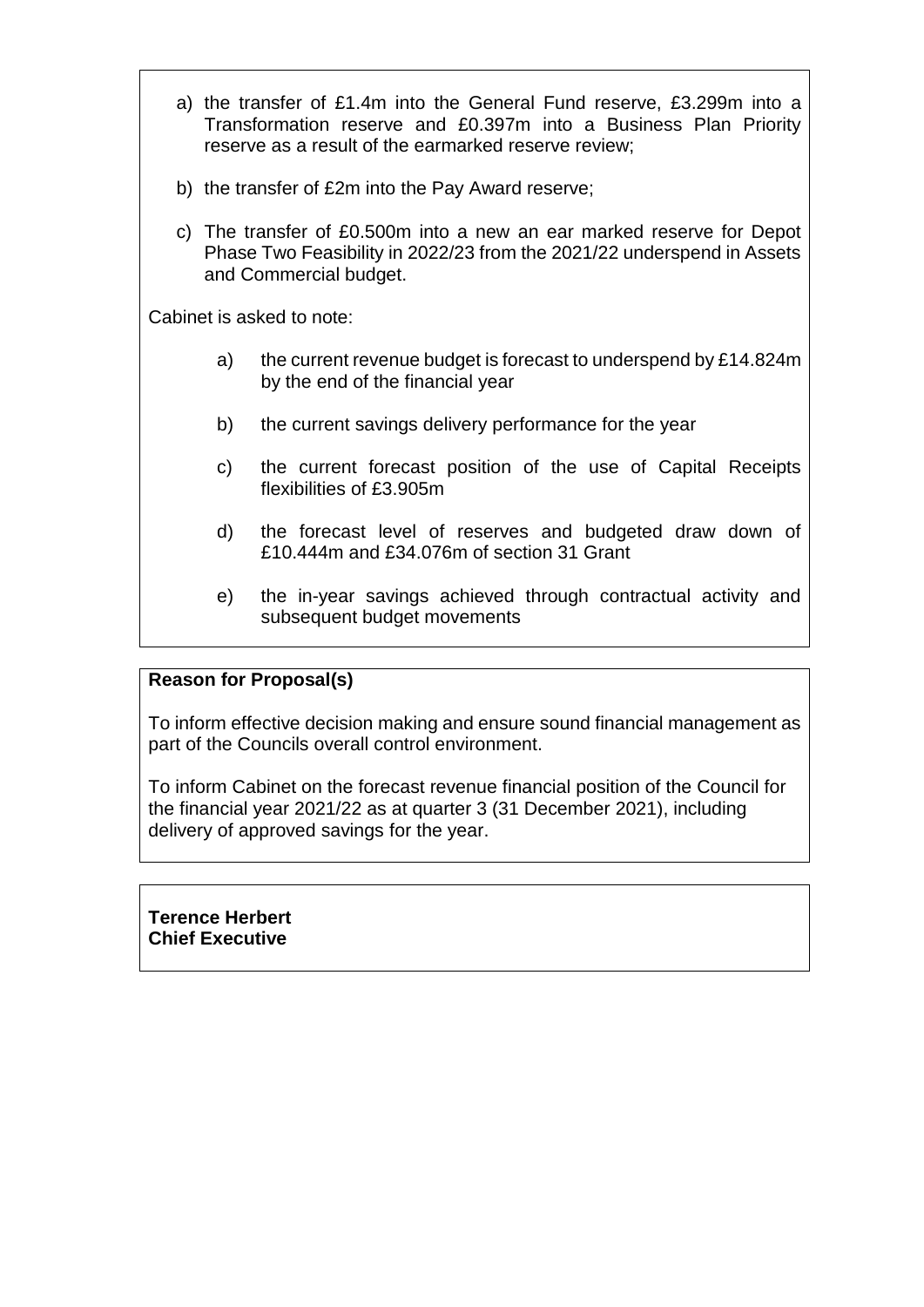a) the transfer of £1.4m into the General Fund reserve, £3.299m into a Transformation reserve and £0.397m into a Business Plan Priority reserve as a result of the earmarked reserve review; b) the transfer of £2m into the Pay Award reserve; c) The transfer of £0.500m into a new an ear marked reserve for Depot Phase Two Feasibility in 2022/23 from the 2021/22 underspend in Assets and Commercial budget.

Cabinet is asked to note:

- a) the current revenue budget is forecast to underspend by £14.824m by the end of the financial year
- b) the current savings delivery performance for the year
- c) the current forecast position of the use of Capital Receipts flexibilities of £3.905m
- d) the forecast level of reserves and budgeted draw down of £10.444m and £34.076m of section 31 Grant
- e) the in-year savings achieved through contractual activity and subsequent budget movements

## **Reason for Proposal(s)**

To inform effective decision making and ensure sound financial management as part of the Councils overall control environment.

To inform Cabinet on the forecast revenue financial position of the Council for the financial year 2021/22 as at quarter 3 (31 December 2021), including delivery of approved savings for the year.

**Terence Herbert Chief Executive**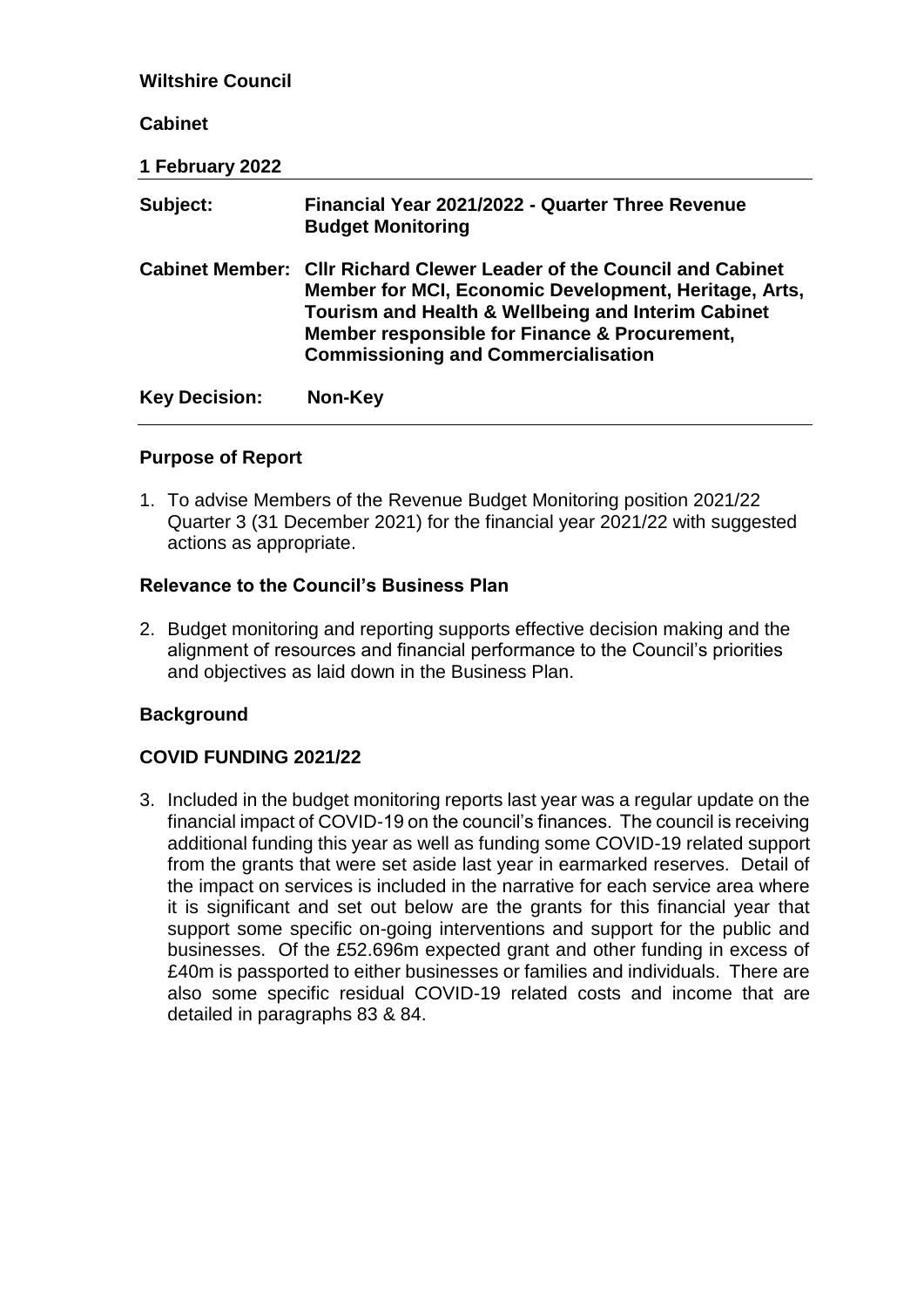| <b>Wiltshire Council</b> |                                                                                                                                                                                                                                                                                     |
|--------------------------|-------------------------------------------------------------------------------------------------------------------------------------------------------------------------------------------------------------------------------------------------------------------------------------|
| <b>Cabinet</b>           |                                                                                                                                                                                                                                                                                     |
| 1 February 2022          |                                                                                                                                                                                                                                                                                     |
| Subject:                 | Financial Year 2021/2022 - Quarter Three Revenue<br><b>Budget Monitoring</b>                                                                                                                                                                                                        |
|                          | Cabinet Member: Cllr Richard Clewer Leader of the Council and Cabinet<br>Member for MCI, Economic Development, Heritage, Arts,<br>Tourism and Health & Wellbeing and Interim Cabinet<br>Member responsible for Finance & Procurement,<br><b>Commissioning and Commercialisation</b> |
| <b>Key Decision:</b>     | Non-Key                                                                                                                                                                                                                                                                             |

### **Purpose of Report**

1. To advise Members of the Revenue Budget Monitoring position 2021/22 Quarter 3 (31 December 2021) for the financial year 2021/22 with suggested actions as appropriate.

#### **Relevance to the Council's Business Plan**

2. Budget monitoring and reporting supports effective decision making and the alignment of resources and financial performance to the Council's priorities and objectives as laid down in the Business Plan.

#### **Background**

## **COVID FUNDING 2021/22**

3. Included in the budget monitoring reports last year was a regular update on the financial impact of COVID-19 on the council's finances. The council is receiving additional funding this year as well as funding some COVID-19 related support from the grants that were set aside last year in earmarked reserves. Detail of the impact on services is included in the narrative for each service area where it is significant and set out below are the grants for this financial year that support some specific on-going interventions and support for the public and businesses. Of the £52.696m expected grant and other funding in excess of £40m is passported to either businesses or families and individuals. There are also some specific residual COVID-19 related costs and income that are detailed in paragraphs 83 & 84.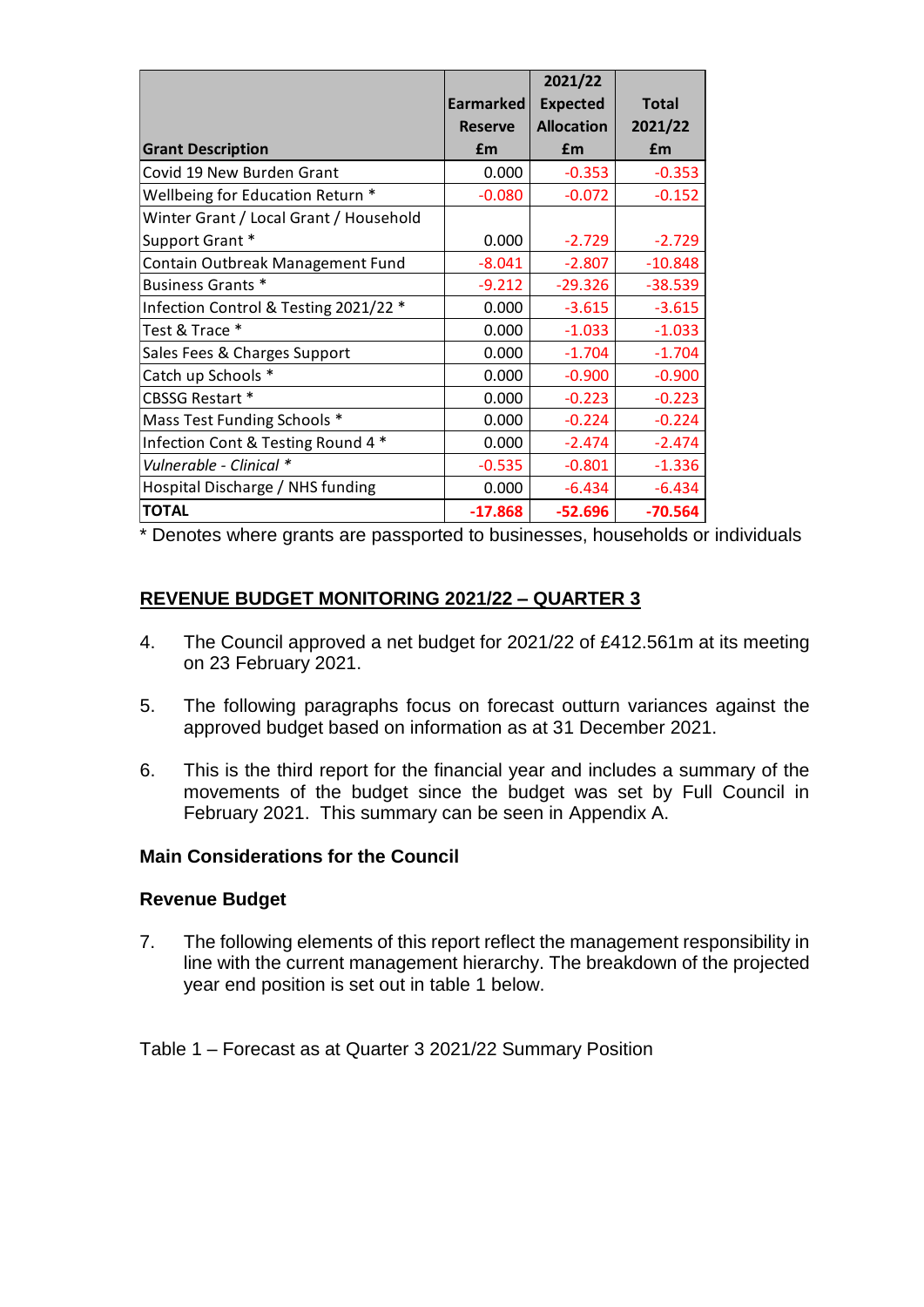|                                        |                  | 2021/22           |              |
|----------------------------------------|------------------|-------------------|--------------|
|                                        | <b>Earmarked</b> | <b>Expected</b>   | <b>Total</b> |
|                                        | <b>Reserve</b>   | <b>Allocation</b> | 2021/22      |
| <b>Grant Description</b>               | £m               | £m                | £m           |
| Covid 19 New Burden Grant              | 0.000            | $-0.353$          | $-0.353$     |
| Wellbeing for Education Return *       | $-0.080$         | $-0.072$          | $-0.152$     |
| Winter Grant / Local Grant / Household |                  |                   |              |
| Support Grant *                        | 0.000            | $-2.729$          | $-2.729$     |
| Contain Outbreak Management Fund       | $-8.041$         | $-2.807$          | $-10.848$    |
| Business Grants *                      | $-9.212$         | $-29.326$         | $-38.539$    |
| Infection Control & Testing 2021/22 *  | 0.000            | $-3.615$          | $-3.615$     |
| Test & Trace *                         | 0.000            | $-1.033$          | $-1.033$     |
| Sales Fees & Charges Support           | 0.000            | $-1.704$          | $-1.704$     |
| Catch up Schools *                     | 0.000            | $-0.900$          | $-0.900$     |
| <b>CBSSG Restart *</b>                 | 0.000            | $-0.223$          | $-0.223$     |
| Mass Test Funding Schools *            | 0.000            | $-0.224$          | $-0.224$     |
| Infection Cont & Testing Round 4 *     | 0.000            | $-2.474$          | $-2.474$     |
| Vulnerable - Clinical *                | $-0.535$         | $-0.801$          | $-1.336$     |
| Hospital Discharge / NHS funding       | 0.000            | $-6.434$          | $-6.434$     |
| <b>TOTAL</b>                           | $-17.868$        | $-52.696$         | $-70.564$    |

\* Denotes where grants are passported to businesses, households or individuals

## **REVENUE BUDGET MONITORING 2021/22 – QUARTER 3**

- 4. The Council approved a net budget for 2021/22 of £412.561m at its meeting on 23 February 2021.
- 5. The following paragraphs focus on forecast outturn variances against the approved budget based on information as at 31 December 2021.
- 6. This is the third report for the financial year and includes a summary of the movements of the budget since the budget was set by Full Council in February 2021. This summary can be seen in Appendix A.

#### **Main Considerations for the Council**

#### **Revenue Budget**

7. The following elements of this report reflect the management responsibility in line with the current management hierarchy. The breakdown of the projected year end position is set out in table 1 below.

Table 1 – Forecast as at Quarter 3 2021/22 Summary Position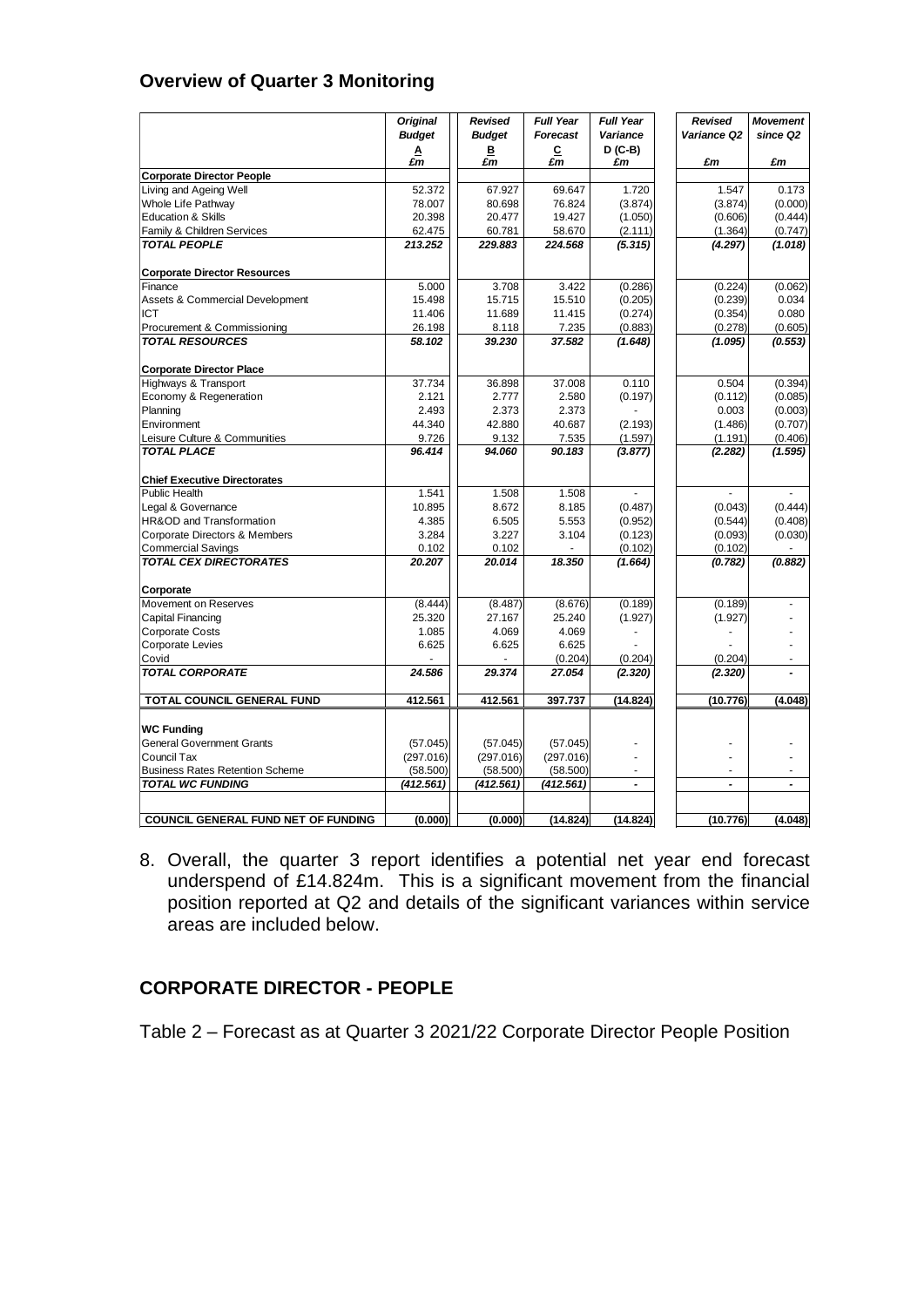## **Overview of Quarter 3 Monitoring**

|                                        | <b>Original</b><br><b>Budget</b> | Revised<br><b>Budget</b> | <b>Full Year</b><br>Forecast | <b>Full Year</b><br>Variance | Revised<br>Variance Q2 | <b>Movement</b><br>since Q2 |
|----------------------------------------|----------------------------------|--------------------------|------------------------------|------------------------------|------------------------|-----------------------------|
|                                        |                                  | в                        | C                            | $D(C-B)$                     |                        |                             |
|                                        | $\frac{A}{\pounds m}$            | £m                       | £m                           | £m                           | £m                     | £m                          |
| <b>Corporate Director People</b>       |                                  |                          |                              |                              |                        |                             |
| Living and Ageing Well                 | 52.372                           | 67.927                   | 69.647                       | 1.720                        | 1.547                  | 0.173                       |
| Whole Life Pathway                     | 78.007                           | 80.698                   | 76.824                       | (3.874)                      | (3.874)                | (0.000)                     |
| <b>Education &amp; Skills</b>          | 20.398                           | 20.477                   | 19.427                       | (1.050)                      | (0.606)                | (0.444)                     |
| Family & Children Services             | 62.475                           | 60.781                   | 58.670                       | (2.111)                      | (1.364)                | (0.747)                     |
| <b>TOTAL PEOPLE</b>                    | 213.252                          | 229.883                  | 224.568                      | (5.315)                      | (4.297)                | (1.018)                     |
| <b>Corporate Director Resources</b>    |                                  |                          |                              |                              |                        |                             |
| Finance                                | 5.000                            | 3.708                    | 3.422                        | (0.286)                      | (0.224)                | (0.062)                     |
| Assets & Commercial Development        | 15.498                           | 15.715                   | 15.510                       | (0.205)                      | (0.239)                | 0.034                       |
| ICT                                    | 11.406                           | 11.689                   | 11.415                       | (0.274)                      | (0.354)                | 0.080                       |
| Procurement & Commissioning            | 26.198                           | 8.118                    | 7.235                        | (0.883)                      | (0.278)                | (0.605)                     |
| <b>TOTAL RESOURCES</b>                 | 58.102                           | 39.230                   | 37,582                       | (1.648)                      | (1.095)                | (0.553)                     |
| <b>Corporate Director Place</b>        |                                  |                          |                              |                              |                        |                             |
| Highways & Transport                   | 37.734                           | 36.898                   | 37.008                       | 0.110                        | 0.504                  | (0.394)                     |
| Economy & Regeneration                 | 2.121                            | 2.777                    | 2.580                        | (0.197)                      | (0.112)                | (0.085)                     |
| Planning                               | 2.493                            | 2.373                    | 2.373                        |                              | 0.003                  | (0.003)                     |
| Environment                            | 44.340                           | 42.880                   | 40.687                       | (2.193)                      | (1.486)                | (0.707)                     |
| Leisure Culture & Communities          | 9.726                            | 9.132                    | 7.535                        | (1.597)                      | (1.191)                | (0.406)                     |
| <b>TOTAL PLACE</b>                     | 96.414                           | 94.060                   | 90.183                       | (3.877)                      | (2.282)                | (1.595)                     |
| <b>Chief Executive Directorates</b>    |                                  |                          |                              |                              |                        |                             |
| Public Health                          | 1.541                            | 1.508                    | 1.508                        |                              |                        |                             |
| Legal & Governance                     | 10.895                           | 8.672                    | 8.185                        | (0.487)                      | (0.043)                | (0.444)                     |
| HR&OD and Transformation               | 4.385                            | 6.505                    | 5.553                        | (0.952)                      | (0.544)                | (0.408)                     |
| Corporate Directors & Members          | 3.284                            | 3.227                    | 3.104                        | (0.123)                      | (0.093)                | (0.030)                     |
| <b>Commercial Savings</b>              | 0.102                            | 0.102                    |                              | (0.102)                      | (0.102)                |                             |
| <b>TOTAL CEX DIRECTORATES</b>          | 20.207                           | 20.014                   | 18.350                       | (1.664)                      | (0.782)                | (0.882)                     |
| Corporate                              |                                  |                          |                              |                              |                        |                             |
| Movement on Reserves                   | (8.444)                          | (8.487)                  | (8.676)                      | (0.189)                      | (0.189)                |                             |
| Capital Financing                      | 25.320                           | 27.167                   | 25.240                       | (1.927)                      | (1.927)                |                             |
| <b>Corporate Costs</b>                 | 1.085                            | 4.069                    | 4.069                        |                              |                        |                             |
| Corporate Levies                       | 6.625                            | 6.625                    | 6.625                        |                              |                        |                             |
| Covid                                  |                                  |                          | (0.204)                      | (0.204)                      | (0.204)                |                             |
| <b>TOTAL CORPORATE</b>                 | 24.586                           | 29.374                   | 27.054                       | (2.320)                      | (2.320)                |                             |
| TOTAL COUNCIL GENERAL FUND             | 412.561                          | 412.561                  | 397.737                      | (14.824)                     | (10.776)               | (4.048)                     |
|                                        |                                  |                          |                              |                              |                        |                             |
| <b>WC Funding</b>                      |                                  |                          |                              |                              |                        |                             |
| <b>General Government Grants</b>       | (57.045)                         | (57.045)                 | (57.045)                     |                              |                        |                             |
| Council Tax                            | (297.016)                        | (297.016)                | (297.016)                    |                              |                        |                             |
| <b>Business Rates Retention Scheme</b> | (58.500)                         | (58.500)                 | (58.500)                     |                              |                        |                             |
| <b>TOTAL WC FUNDING</b>                | (412.561)                        | (412.561)                | (412.561)                    | $\overline{a}$               | $\blacksquare$         | $\tilde{\phantom{a}}$       |
|                                        |                                  |                          |                              |                              |                        |                             |
| COUNCIL GENERAL FUND NET OF FUNDING    | (0.000)                          | (0.000)                  | (14.824)                     | (14.824)                     | (10.776)               | (4.048)                     |

8. Overall, the quarter 3 report identifies a potential net year end forecast underspend of £14.824m. This is a significant movement from the financial position reported at Q2 and details of the significant variances within service areas are included below.

## **CORPORATE DIRECTOR - PEOPLE**

Table 2 – Forecast as at Quarter 3 2021/22 Corporate Director People Position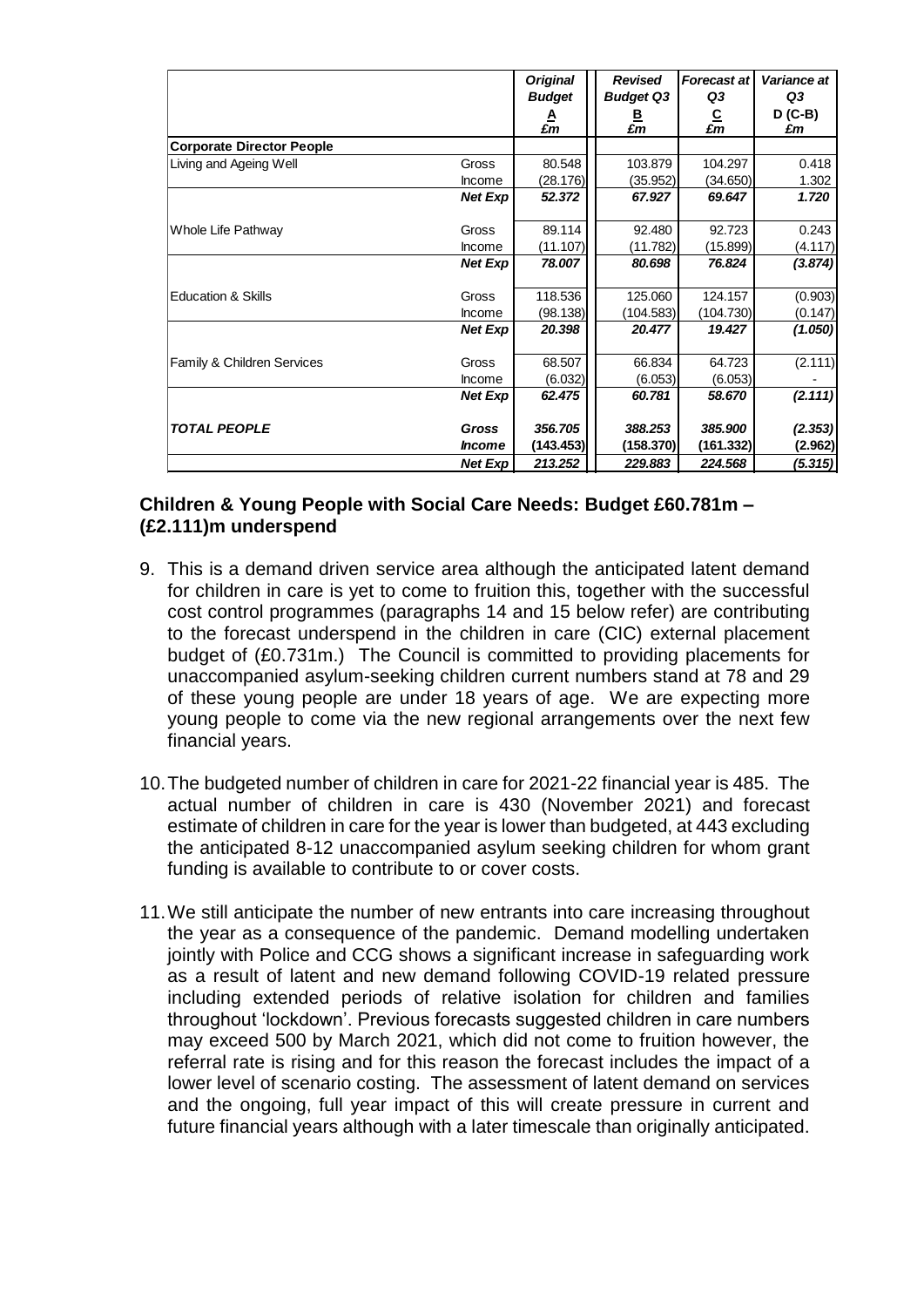|                                  |                      | <b>Original</b> | <b>Revised</b>   | <b>Forecast at</b>    | Variance at     |
|----------------------------------|----------------------|-----------------|------------------|-----------------------|-----------------|
|                                  |                      | <b>Budget</b>   | <b>Budget Q3</b> | Q3                    | Q3              |
|                                  |                      | A<br>£m         | ₿<br>£m          | $\frac{C}{\pounds m}$ | $D$ (C-B)<br>£m |
| <b>Corporate Director People</b> |                      |                 |                  |                       |                 |
| Living and Ageing Well           | Gross                | 80.548          | 103.879          | 104.297               | 0.418           |
|                                  | Income               | (28.176)        | (35.952)         | (34.650)              | 1.302           |
|                                  | <b>Net Exp</b>       | 52.372          | 67.927           | 69.647                | 1.720           |
| Whole Life Pathway               | Gross                | 89.114          | 92.480           | 92.723                | 0.243           |
|                                  | Income               | (11.107)        | (11.782)         | (15.899)              | (4.117)         |
|                                  | <b>Net Exp</b>       | 78.007          | 80.698           | 76.824                | (3.874)         |
| <b>Education &amp; Skills</b>    | Gross                | 118.536         | 125.060          | 124.157               | (0.903)         |
|                                  | Income               | (98.138)        | (104.583)        | (104.730)             | (0.147)         |
|                                  | <b>Net Exp</b>       | 20.398          | 20.477           | 19.427                | (1.050)         |
| Family & Children Services       | Gross                | 68.507          | 66.834           | 64.723                | (2.111)         |
|                                  | Income               | (6.032)         | (6.053)          | (6.053)               |                 |
|                                  | <b>Net Exp</b>       | 62.475          | 60.781           | 58.670                | (2.111)         |
| <b>TOTAL PEOPLE</b>              | <b>Gross</b>         | 356,705         | 388.253          | 385,900               | (2.353)         |
|                                  | <i><b>Income</b></i> | (143.453)       | (158.370)        | (161.332)             | (2.962)         |
|                                  | <b>Net Exp</b>       | 213.252         | 229.883          | 224.568               | (5.315)         |

## **Children & Young People with Social Care Needs: Budget £60.781m – (£2.111)m underspend**

- 9. This is a demand driven service area although the anticipated latent demand for children in care is yet to come to fruition this, together with the successful cost control programmes (paragraphs 14 and 15 below refer) are contributing to the forecast underspend in the children in care (CIC) external placement budget of (£0.731m.) The Council is committed to providing placements for unaccompanied asylum-seeking children current numbers stand at 78 and 29 of these young people are under 18 years of age. We are expecting more young people to come via the new regional arrangements over the next few financial years.
- 10.The budgeted number of children in care for 2021-22 financial year is 485. The actual number of children in care is 430 (November 2021) and forecast estimate of children in care for the year is lower than budgeted, at 443 excluding the anticipated 8-12 unaccompanied asylum seeking children for whom grant funding is available to contribute to or cover costs.
- 11.We still anticipate the number of new entrants into care increasing throughout the year as a consequence of the pandemic. Demand modelling undertaken jointly with Police and CCG shows a significant increase in safeguarding work as a result of latent and new demand following COVID-19 related pressure including extended periods of relative isolation for children and families throughout 'lockdown'. Previous forecasts suggested children in care numbers may exceed 500 by March 2021, which did not come to fruition however, the referral rate is rising and for this reason the forecast includes the impact of a lower level of scenario costing. The assessment of latent demand on services and the ongoing, full year impact of this will create pressure in current and future financial years although with a later timescale than originally anticipated.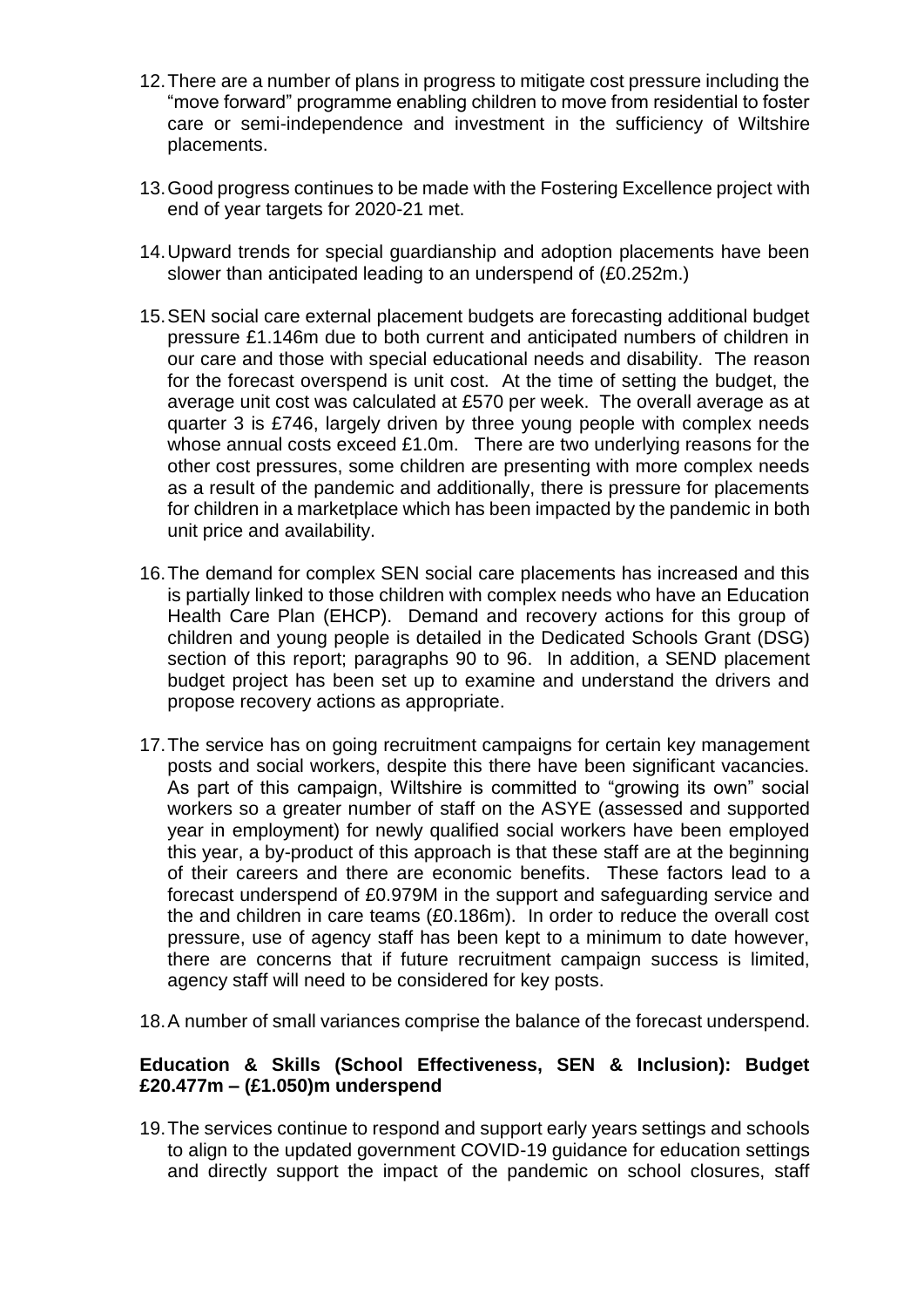- 12.There are a number of plans in progress to mitigate cost pressure including the "move forward" programme enabling children to move from residential to foster care or semi-independence and investment in the sufficiency of Wiltshire placements.
- 13.Good progress continues to be made with the Fostering Excellence project with end of year targets for 2020-21 met.
- 14.Upward trends for special guardianship and adoption placements have been slower than anticipated leading to an underspend of (£0.252m.)
- 15.SEN social care external placement budgets are forecasting additional budget pressure £1.146m due to both current and anticipated numbers of children in our care and those with special educational needs and disability. The reason for the forecast overspend is unit cost. At the time of setting the budget, the average unit cost was calculated at £570 per week. The overall average as at quarter 3 is £746, largely driven by three young people with complex needs whose annual costs exceed £1.0m. There are two underlying reasons for the other cost pressures, some children are presenting with more complex needs as a result of the pandemic and additionally, there is pressure for placements for children in a marketplace which has been impacted by the pandemic in both unit price and availability.
- 16.The demand for complex SEN social care placements has increased and this is partially linked to those children with complex needs who have an Education Health Care Plan (EHCP). Demand and recovery actions for this group of children and young people is detailed in the Dedicated Schools Grant (DSG) section of this report; paragraphs 90 to 96. In addition, a SEND placement budget project has been set up to examine and understand the drivers and propose recovery actions as appropriate.
- 17.The service has on going recruitment campaigns for certain key management posts and social workers, despite this there have been significant vacancies. As part of this campaign, Wiltshire is committed to "growing its own" social workers so a greater number of staff on the ASYE (assessed and supported year in employment) for newly qualified social workers have been employed this year, a by-product of this approach is that these staff are at the beginning of their careers and there are economic benefits. These factors lead to a forecast underspend of £0.979M in the support and safeguarding service and the and children in care teams (£0.186m). In order to reduce the overall cost pressure, use of agency staff has been kept to a minimum to date however, there are concerns that if future recruitment campaign success is limited, agency staff will need to be considered for key posts.
- 18.A number of small variances comprise the balance of the forecast underspend.

#### **Education & Skills (School Effectiveness, SEN & Inclusion): Budget £20.477m – (£1.050)m underspend**

19.The services continue to respond and support early years settings and schools to align to the updated government COVID-19 guidance for education settings and directly support the impact of the pandemic on school closures, staff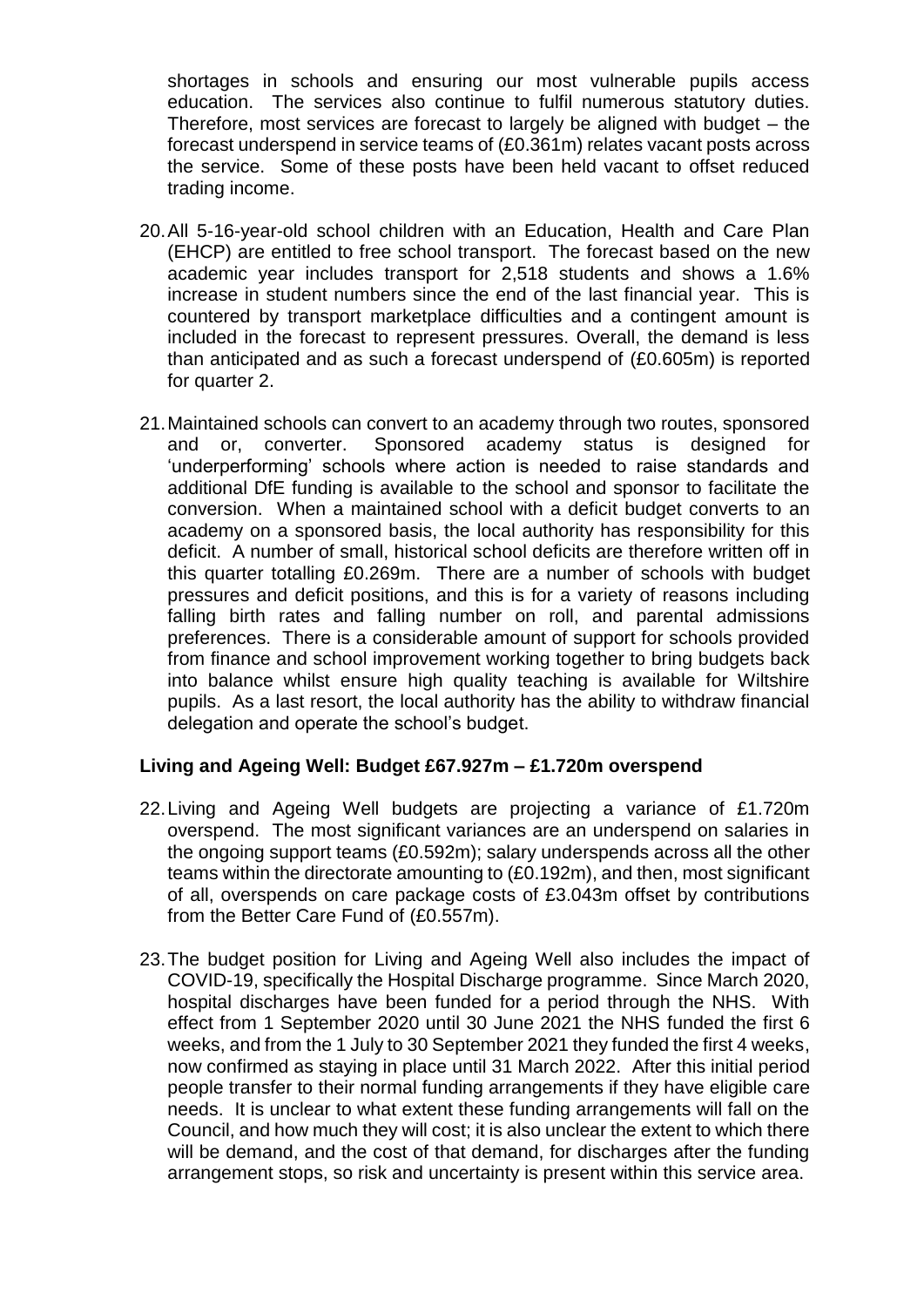shortages in schools and ensuring our most vulnerable pupils access education. The services also continue to fulfil numerous statutory duties. Therefore, most services are forecast to largely be aligned with budget – the forecast underspend in service teams of (£0.361m) relates vacant posts across the service. Some of these posts have been held vacant to offset reduced trading income.

- 20.All 5-16-year-old school children with an Education, Health and Care Plan (EHCP) are entitled to free school transport. The forecast based on the new academic year includes transport for 2,518 students and shows a 1.6% increase in student numbers since the end of the last financial year. This is countered by transport marketplace difficulties and a contingent amount is included in the forecast to represent pressures. Overall, the demand is less than anticipated and as such a forecast underspend of (£0.605m) is reported for quarter 2.
- 21.Maintained schools can convert to an academy through two routes, sponsored and or, converter. Sponsored academy status is designed for 'underperforming' schools where action is needed to raise standards and additional DfE funding is available to the school and sponsor to facilitate the conversion. When a maintained school with a deficit budget converts to an academy on a sponsored basis, the local authority has responsibility for this deficit. A number of small, historical school deficits are therefore written off in this quarter totalling £0.269m. There are a number of schools with budget pressures and deficit positions, and this is for a variety of reasons including falling birth rates and falling number on roll, and parental admissions preferences. There is a considerable amount of support for schools provided from finance and school improvement working together to bring budgets back into balance whilst ensure high quality teaching is available for Wiltshire pupils. As a last resort, the local authority has the ability to withdraw financial delegation and operate the school's budget.

#### **Living and Ageing Well: Budget £67.927m – £1.720m overspend**

- 22.Living and Ageing Well budgets are projecting a variance of £1.720m overspend. The most significant variances are an underspend on salaries in the ongoing support teams (£0.592m); salary underspends across all the other teams within the directorate amounting to (£0.192m), and then, most significant of all, overspends on care package costs of £3.043m offset by contributions from the Better Care Fund of (£0.557m).
- 23.The budget position for Living and Ageing Well also includes the impact of COVID-19, specifically the Hospital Discharge programme. Since March 2020, hospital discharges have been funded for a period through the NHS. With effect from 1 September 2020 until 30 June 2021 the NHS funded the first 6 weeks, and from the 1 July to 30 September 2021 they funded the first 4 weeks, now confirmed as staying in place until 31 March 2022. After this initial period people transfer to their normal funding arrangements if they have eligible care needs. It is unclear to what extent these funding arrangements will fall on the Council, and how much they will cost; it is also unclear the extent to which there will be demand, and the cost of that demand, for discharges after the funding arrangement stops, so risk and uncertainty is present within this service area.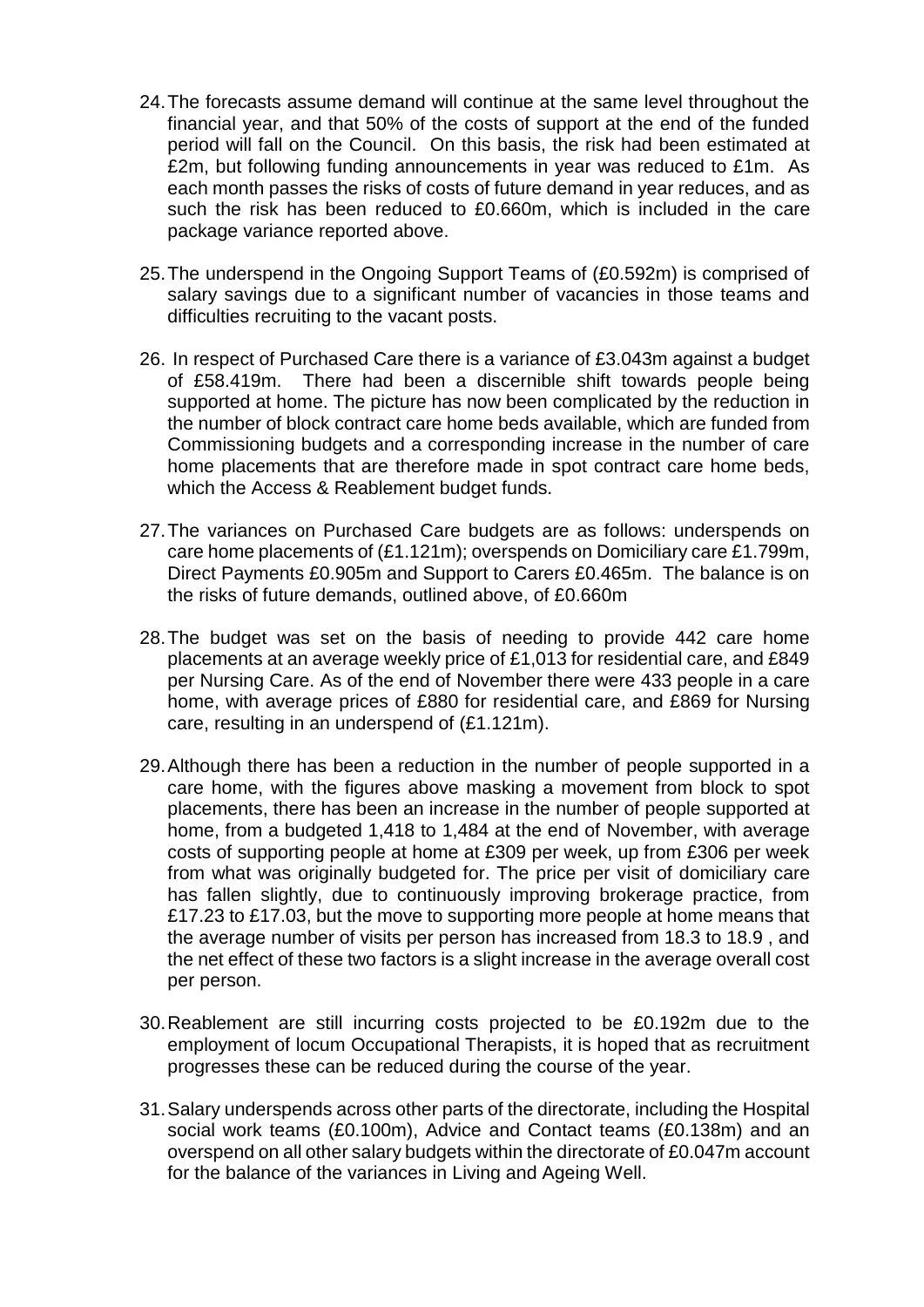- 24.The forecasts assume demand will continue at the same level throughout the financial year, and that 50% of the costs of support at the end of the funded period will fall on the Council. On this basis, the risk had been estimated at £2m, but following funding announcements in year was reduced to £1m. As each month passes the risks of costs of future demand in year reduces, and as such the risk has been reduced to £0.660m, which is included in the care package variance reported above.
- 25.The underspend in the Ongoing Support Teams of (£0.592m) is comprised of salary savings due to a significant number of vacancies in those teams and difficulties recruiting to the vacant posts.
- 26. In respect of Purchased Care there is a variance of £3.043m against a budget of £58.419m. There had been a discernible shift towards people being supported at home. The picture has now been complicated by the reduction in the number of block contract care home beds available, which are funded from Commissioning budgets and a corresponding increase in the number of care home placements that are therefore made in spot contract care home beds, which the Access & Reablement budget funds.
- 27.The variances on Purchased Care budgets are as follows: underspends on care home placements of (£1.121m); overspends on Domiciliary care £1.799m, Direct Payments £0.905m and Support to Carers £0.465m. The balance is on the risks of future demands, outlined above, of £0.660m
- 28.The budget was set on the basis of needing to provide 442 care home placements at an average weekly price of £1,013 for residential care, and £849 per Nursing Care. As of the end of November there were 433 people in a care home, with average prices of £880 for residential care, and £869 for Nursing care, resulting in an underspend of (£1.121m).
- 29.Although there has been a reduction in the number of people supported in a care home, with the figures above masking a movement from block to spot placements, there has been an increase in the number of people supported at home, from a budgeted 1,418 to 1,484 at the end of November, with average costs of supporting people at home at £309 per week, up from £306 per week from what was originally budgeted for. The price per visit of domiciliary care has fallen slightly, due to continuously improving brokerage practice, from £17.23 to £17.03, but the move to supporting more people at home means that the average number of visits per person has increased from 18.3 to 18.9 , and the net effect of these two factors is a slight increase in the average overall cost per person.
- 30.Reablement are still incurring costs projected to be £0.192m due to the employment of locum Occupational Therapists, it is hoped that as recruitment progresses these can be reduced during the course of the year.
- 31.Salary underspends across other parts of the directorate, including the Hospital social work teams (£0.100m), Advice and Contact teams (£0.138m) and an overspend on all other salary budgets within the directorate of £0.047m account for the balance of the variances in Living and Ageing Well.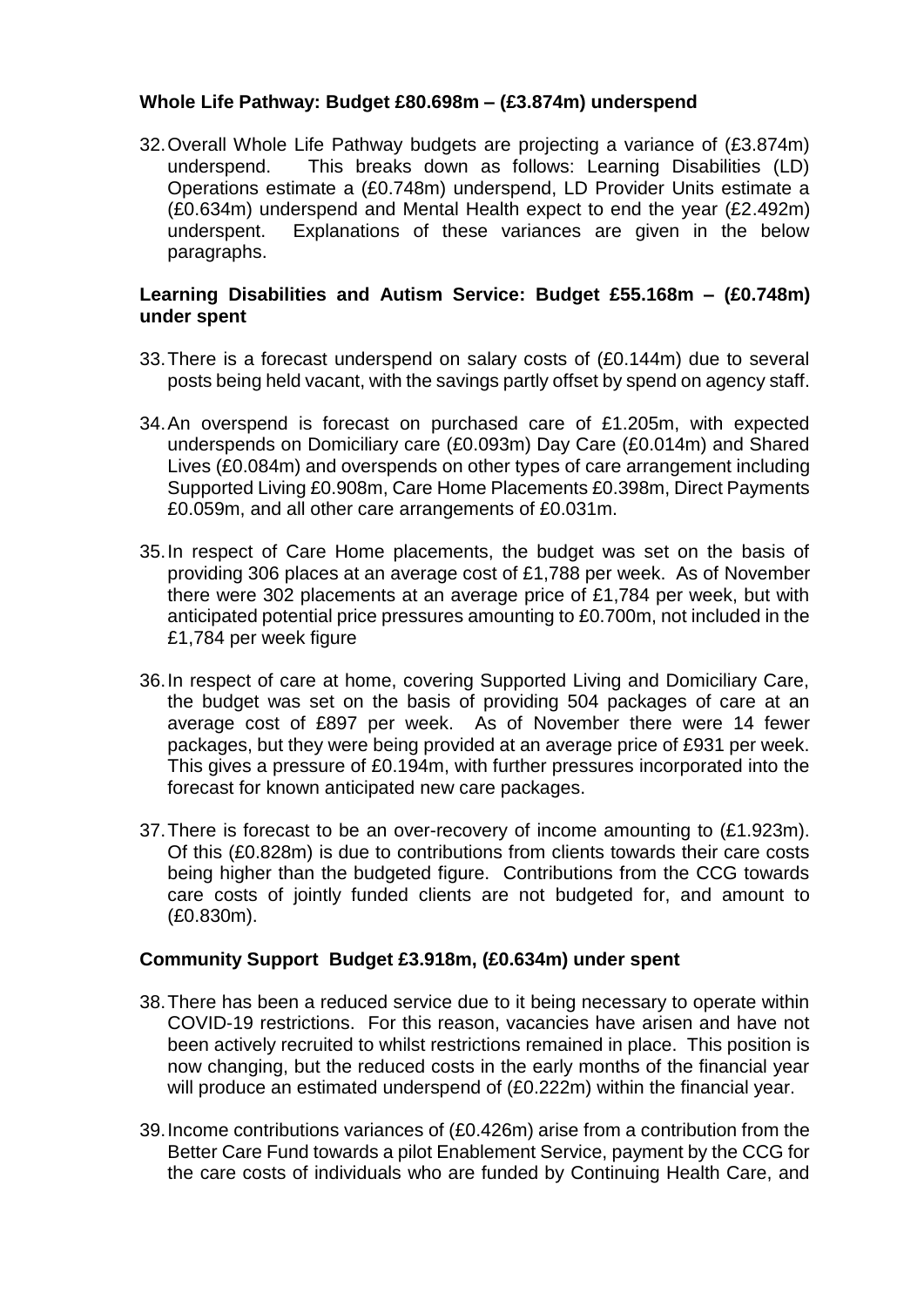### **Whole Life Pathway: Budget £80.698m – (£3.874m) underspend**

32.Overall Whole Life Pathway budgets are projecting a variance of (£3.874m) underspend. This breaks down as follows: Learning Disabilities (LD) Operations estimate a (£0.748m) underspend, LD Provider Units estimate a (£0.634m) underspend and Mental Health expect to end the year (£2.492m) underspent. Explanations of these variances are given in the below paragraphs.

#### **Learning Disabilities and Autism Service: Budget £55.168m – (£0.748m) under spent**

- 33.There is a forecast underspend on salary costs of (£0.144m) due to several posts being held vacant, with the savings partly offset by spend on agency staff.
- 34.An overspend is forecast on purchased care of £1.205m, with expected underspends on Domiciliary care (£0.093m) Day Care (£0.014m) and Shared Lives (£0.084m) and overspends on other types of care arrangement including Supported Living £0.908m, Care Home Placements £0.398m, Direct Payments £0.059m, and all other care arrangements of £0.031m.
- 35.In respect of Care Home placements, the budget was set on the basis of providing 306 places at an average cost of £1,788 per week. As of November there were 302 placements at an average price of £1,784 per week, but with anticipated potential price pressures amounting to £0.700m, not included in the £1,784 per week figure
- 36.In respect of care at home, covering Supported Living and Domiciliary Care, the budget was set on the basis of providing 504 packages of care at an average cost of £897 per week. As of November there were 14 fewer packages, but they were being provided at an average price of £931 per week. This gives a pressure of £0.194m, with further pressures incorporated into the forecast for known anticipated new care packages.
- 37.There is forecast to be an over-recovery of income amounting to (£1.923m). Of this (£0.828m) is due to contributions from clients towards their care costs being higher than the budgeted figure. Contributions from the CCG towards care costs of jointly funded clients are not budgeted for, and amount to (£0.830m).

#### **Community Support Budget £3.918m, (£0.634m) under spent**

- 38.There has been a reduced service due to it being necessary to operate within COVID-19 restrictions. For this reason, vacancies have arisen and have not been actively recruited to whilst restrictions remained in place. This position is now changing, but the reduced costs in the early months of the financial year will produce an estimated underspend of (£0.222m) within the financial year.
- 39.Income contributions variances of (£0.426m) arise from a contribution from the Better Care Fund towards a pilot Enablement Service, payment by the CCG for the care costs of individuals who are funded by Continuing Health Care, and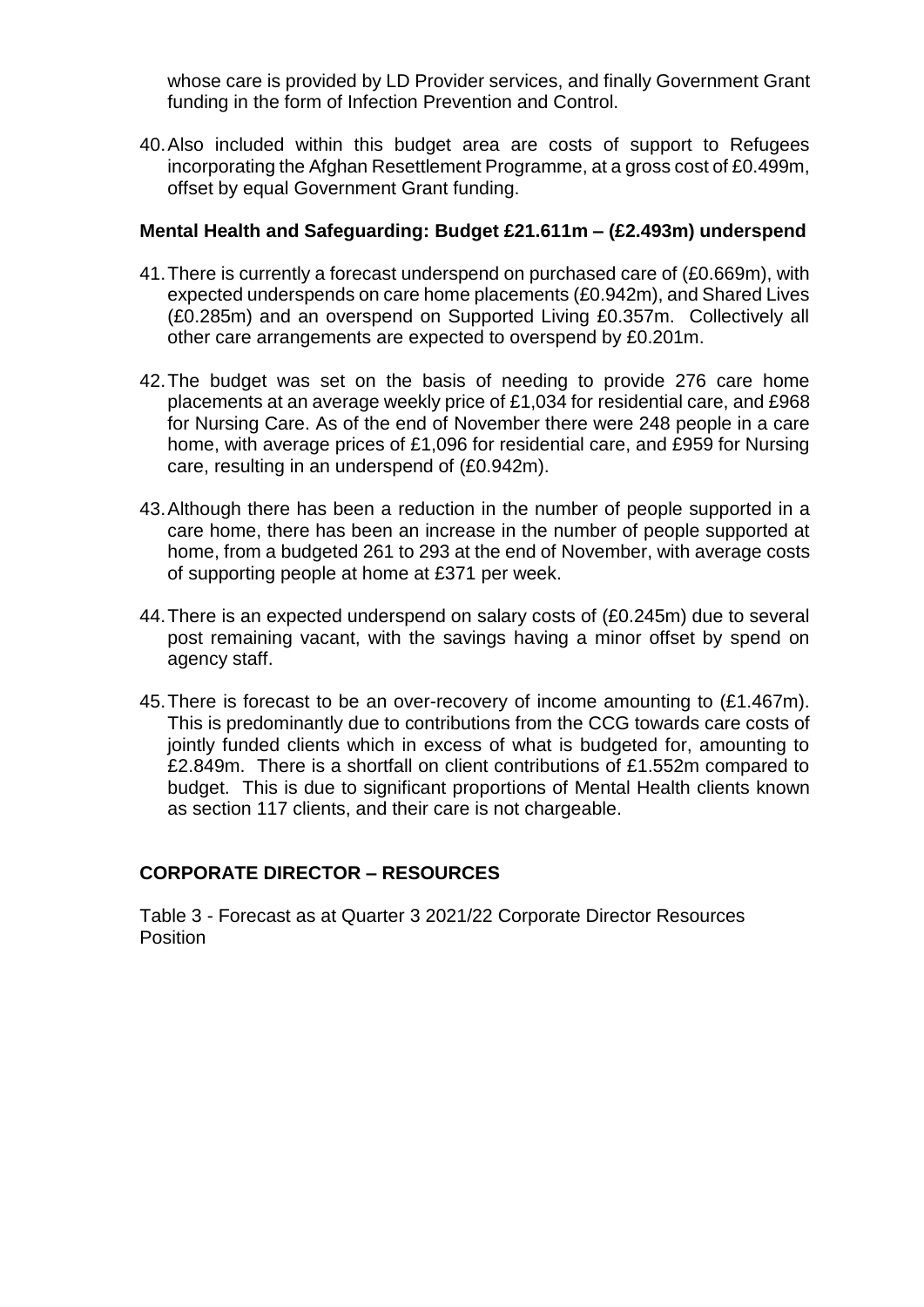whose care is provided by LD Provider services, and finally Government Grant funding in the form of Infection Prevention and Control.

40.Also included within this budget area are costs of support to Refugees incorporating the Afghan Resettlement Programme, at a gross cost of £0.499m, offset by equal Government Grant funding.

#### **Mental Health and Safeguarding: Budget £21.611m – (£2.493m) underspend**

- 41.There is currently a forecast underspend on purchased care of (£0.669m), with expected underspends on care home placements (£0.942m), and Shared Lives (£0.285m) and an overspend on Supported Living £0.357m. Collectively all other care arrangements are expected to overspend by £0.201m.
- 42.The budget was set on the basis of needing to provide 276 care home placements at an average weekly price of £1,034 for residential care, and £968 for Nursing Care. As of the end of November there were 248 people in a care home, with average prices of £1,096 for residential care, and £959 for Nursing care, resulting in an underspend of (£0.942m).
- 43.Although there has been a reduction in the number of people supported in a care home, there has been an increase in the number of people supported at home, from a budgeted 261 to 293 at the end of November, with average costs of supporting people at home at £371 per week.
- 44.There is an expected underspend on salary costs of (£0.245m) due to several post remaining vacant, with the savings having a minor offset by spend on agency staff.
- 45.There is forecast to be an over-recovery of income amounting to (£1.467m). This is predominantly due to contributions from the CCG towards care costs of jointly funded clients which in excess of what is budgeted for, amounting to £2.849m. There is a shortfall on client contributions of £1.552m compared to budget. This is due to significant proportions of Mental Health clients known as section 117 clients, and their care is not chargeable.

## **CORPORATE DIRECTOR – RESOURCES**

Table 3 - Forecast as at Quarter 3 2021/22 Corporate Director Resources Position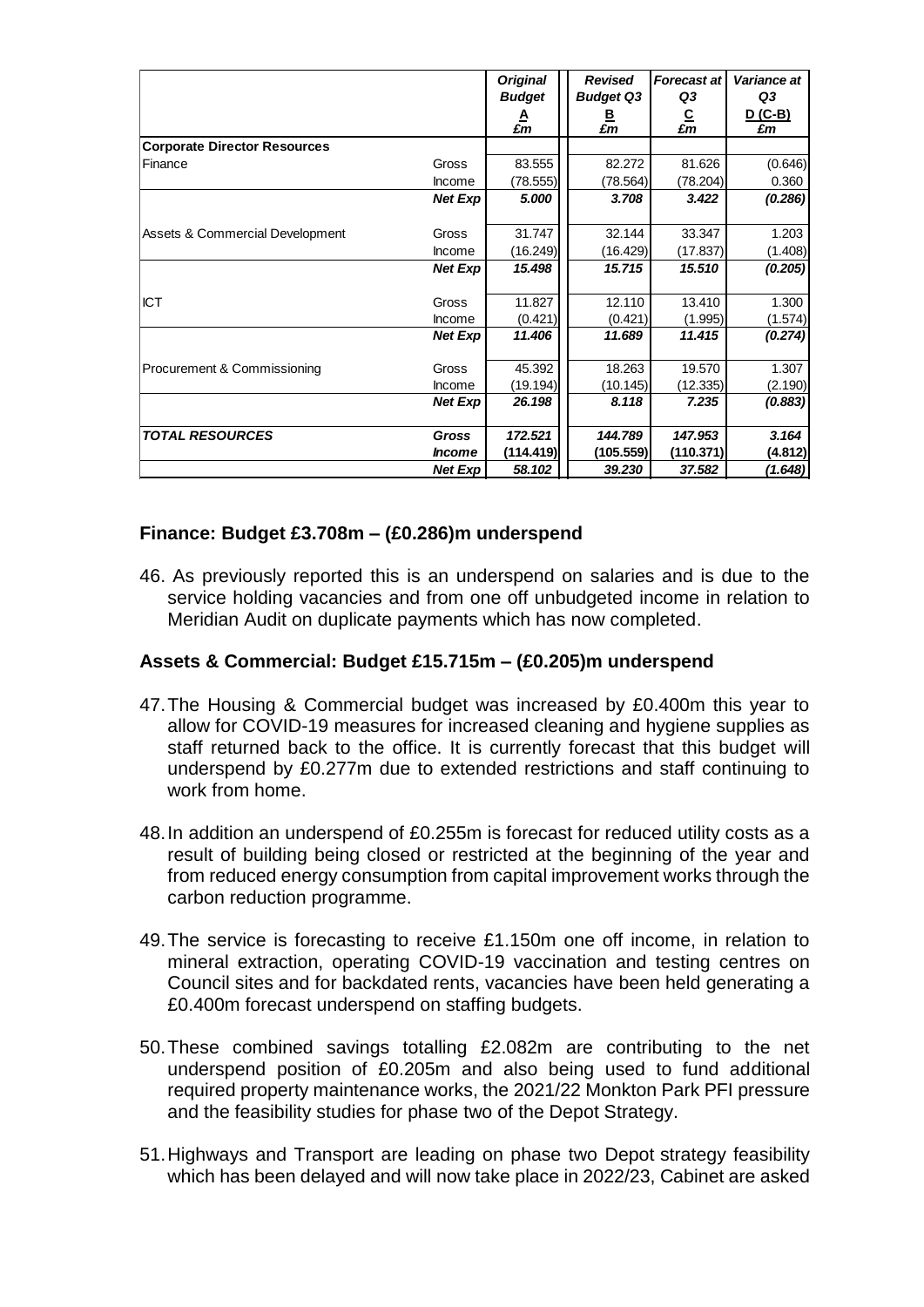|                                     |                      | <b>Original</b>          | <b>Revised</b>              | <b>Forecast at</b>          | Variance at<br>Q3 |
|-------------------------------------|----------------------|--------------------------|-----------------------------|-----------------------------|-------------------|
|                                     |                      | <b>Budget</b><br>A<br>£m | <b>Budget Q3</b><br>₿<br>£m | Q3<br>$\frac{C}{\pounds m}$ | D (C-B)<br>£m     |
| <b>Corporate Director Resources</b> |                      |                          |                             |                             |                   |
| Finance                             | Gross                | 83.555                   | 82.272                      | 81.626                      | (0.646)           |
|                                     | Income               | (78.555)                 | (78.564)                    | (78.204)                    | 0.360             |
|                                     | Net Exp              | 5.000                    | 3.708                       | 3.422                       | (0.286)           |
| Assets & Commercial Development     | Gross                | 31.747                   | 32.144                      | 33.347                      | 1.203             |
|                                     | Income               | (16.249)                 | (16.429)                    | (17.837)                    | (1.408)           |
|                                     | Net Exp              | 15.498                   | 15.715                      | 15.510                      | (0.205)           |
| <b>ICT</b>                          | Gross                | 11.827                   | 12.110                      | 13.410                      | 1.300             |
|                                     | Income               | (0.421)                  | (0.421)                     | (1.995)                     | (1.574)           |
|                                     | Net Exp              | 11.406                   | 11.689                      | 11.415                      | (0.274)           |
| Procurement & Commissioning         | Gross                | 45.392                   | 18.263                      | 19.570                      | 1.307             |
|                                     | <b>Income</b>        | (19.194)                 | (10.145)                    | (12.335)                    | (2.190)           |
|                                     | Net Exp              | 26.198                   | 8.118                       | 7.235                       | (0.883)           |
| <b>TOTAL RESOURCES</b>              | Gross                | 172.521                  | 144.789                     | 147.953                     | 3.164             |
|                                     | <i><b>Income</b></i> | (114.419)                | (105.559)                   | (110.371)                   | (4.812)           |
|                                     | <b>Net Exp</b>       | 58.102                   | 39.230                      | 37.582                      | (1.648)           |

### **Finance: Budget £3.708m – (£0.286)m underspend**

46. As previously reported this is an underspend on salaries and is due to the service holding vacancies and from one off unbudgeted income in relation to Meridian Audit on duplicate payments which has now completed.

#### **Assets & Commercial: Budget £15.715m – (£0.205)m underspend**

- 47.The Housing & Commercial budget was increased by £0.400m this year to allow for COVID-19 measures for increased cleaning and hygiene supplies as staff returned back to the office. It is currently forecast that this budget will underspend by £0.277m due to extended restrictions and staff continuing to work from home.
- 48.In addition an underspend of £0.255m is forecast for reduced utility costs as a result of building being closed or restricted at the beginning of the year and from reduced energy consumption from capital improvement works through the carbon reduction programme.
- 49.The service is forecasting to receive £1.150m one off income, in relation to mineral extraction, operating COVID-19 vaccination and testing centres on Council sites and for backdated rents, vacancies have been held generating a £0.400m forecast underspend on staffing budgets.
- 50.These combined savings totalling £2.082m are contributing to the net underspend position of £0.205m and also being used to fund additional required property maintenance works, the 2021/22 Monkton Park PFI pressure and the feasibility studies for phase two of the Depot Strategy.
- 51.Highways and Transport are leading on phase two Depot strategy feasibility which has been delayed and will now take place in 2022/23, Cabinet are asked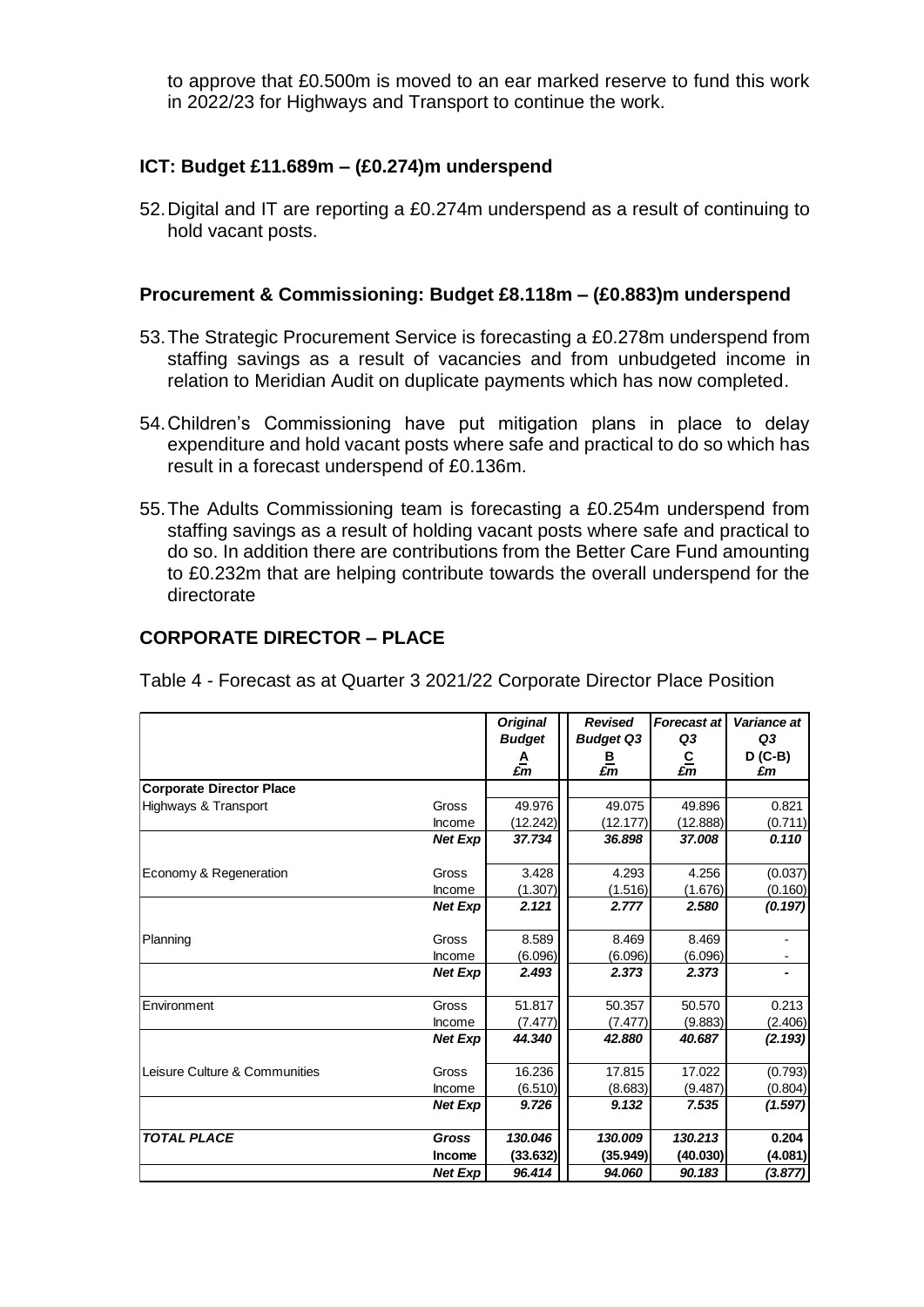to approve that £0.500m is moved to an ear marked reserve to fund this work in 2022/23 for Highways and Transport to continue the work.

#### **ICT: Budget £11.689m – (£0.274)m underspend**

52.Digital and IT are reporting a £0.274m underspend as a result of continuing to hold vacant posts.

#### **Procurement & Commissioning: Budget £8.118m – (£0.883)m underspend**

- 53.The Strategic Procurement Service is forecasting a £0.278m underspend from staffing savings as a result of vacancies and from unbudgeted income in relation to Meridian Audit on duplicate payments which has now completed.
- 54.Children's Commissioning have put mitigation plans in place to delay expenditure and hold vacant posts where safe and practical to do so which has result in a forecast underspend of £0.136m.
- 55.The Adults Commissioning team is forecasting a £0.254m underspend from staffing savings as a result of holding vacant posts where safe and practical to do so. In addition there are contributions from the Better Care Fund amounting to £0.232m that are helping contribute towards the overall underspend for the directorate

### **CORPORATE DIRECTOR – PLACE**

Table 4 - Forecast as at Quarter 3 2021/22 Corporate Director Place Position

|                                 |                | <b>Original</b> | <b>Revised</b>   | <b>Forecast at</b>  | Variance at    |
|---------------------------------|----------------|-----------------|------------------|---------------------|----------------|
|                                 |                | <b>Budget</b>   | <b>Budget Q3</b> | Q3                  | Q3             |
|                                 |                | £m              | ₿<br>£m          | $rac{C}{\pounds m}$ | $D(C-B)$<br>£m |
| <b>Corporate Director Place</b> |                |                 |                  |                     |                |
| Highways & Transport            | Gross          | 49.976          | 49.075           | 49.896              | 0.821          |
|                                 | Income         | (12.242)        | (12.177)         | (12.888)            | (0.711)        |
|                                 | <b>Net Exp</b> | 37.734          | 36.898           | 37.008              | 0.110          |
| Economy & Regeneration          | Gross          | 3.428           | 4.293            | 4.256               | (0.037)        |
|                                 | Income         | (1.307)         | (1.516)          | (1.676)             | (0.160)        |
|                                 | <b>Net Exp</b> | 2.121           | 2.777            | 2.580               | (0.197)        |
| Planning                        | Gross          | 8.589           | 8.469            | 8.469               |                |
|                                 | Income         | (6.096)         | (6.096)          | (6.096)             |                |
|                                 | <b>Net Exp</b> | 2.493           | 2.373            | 2.373               |                |
| Environment                     | Gross          | 51.817          | 50.357           | 50.570              | 0.213          |
|                                 | Income         | (7.477)         | (7.477)          | (9.883)             | (2.406)        |
|                                 | <b>Net Exp</b> | 44.340          | 42.880           | 40.687              | (2.193)        |
| Leisure Culture & Communities   | Gross          | 16.236          | 17.815           | 17.022              | (0.793)        |
|                                 | Income         | (6.510)         | (8.683)          | (9.487)             | (0.804)        |
|                                 | <b>Net Exp</b> | 9.726           | 9.132            | 7.535               | (1.597)        |
| <b>TOTAL PLACE</b>              | Gross          | 130.046         | 130.009          | 130.213             | 0.204          |
|                                 | Income         | (33.632)        | (35.949)         | (40.030)            | (4.081)        |
|                                 | <b>Net Exp</b> | 96.414          | 94.060           | 90.183              | (3.877)        |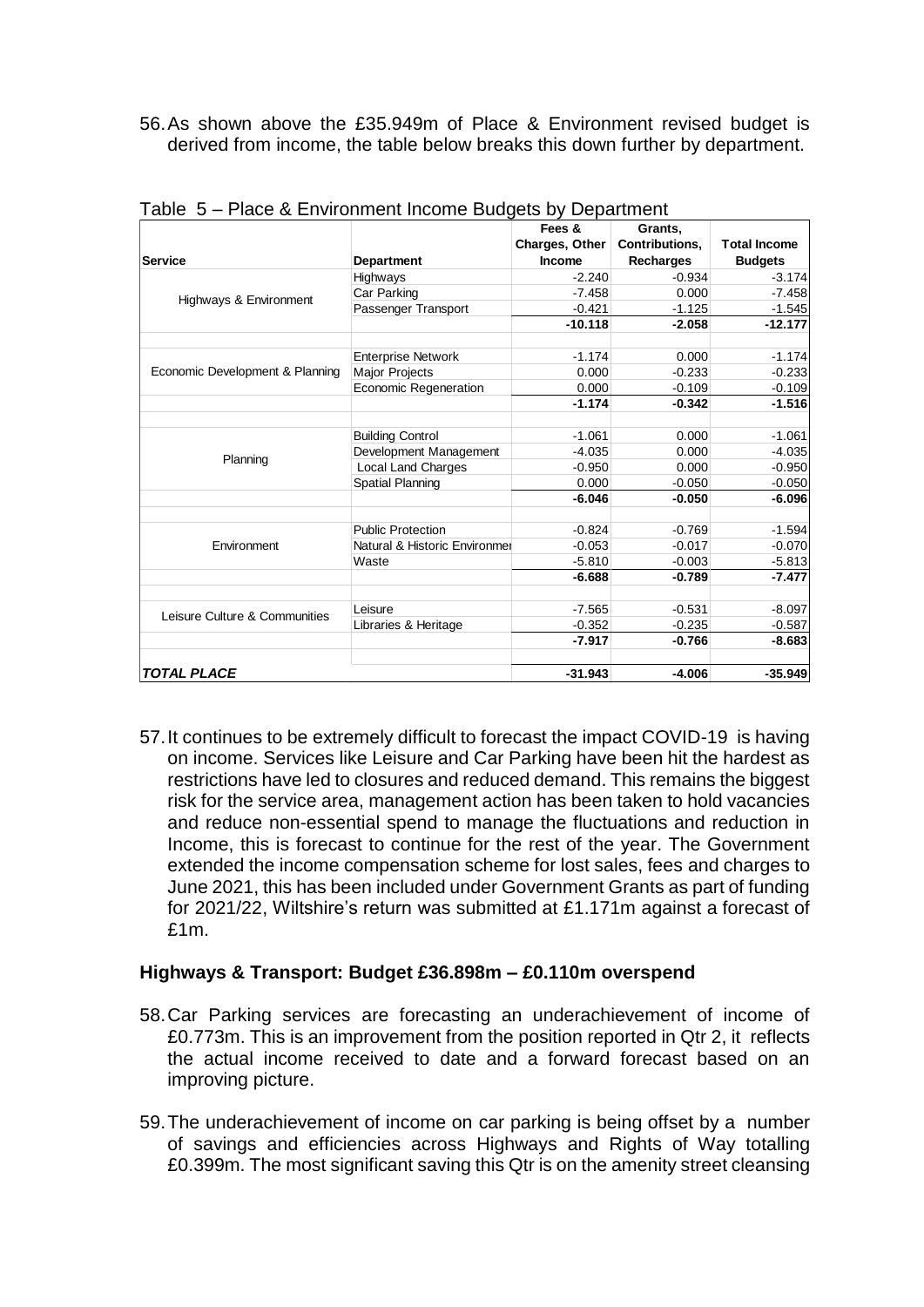56.As shown above the £35.949m of Place & Environment revised budget is derived from income, the table below breaks this down further by department.

| Service                         | <b>Department</b>             | Fees &<br>Charges, Other<br>Income | Grants,<br><b>Contributions.</b><br><b>Recharges</b> | <b>Total Income</b><br><b>Budgets</b> |
|---------------------------------|-------------------------------|------------------------------------|------------------------------------------------------|---------------------------------------|
|                                 | Highways                      | $-2.240$                           | $-0.934$                                             | $-3.174$                              |
|                                 | Car Parking                   | $-7.458$                           | 0.000                                                | $-7.458$                              |
| Highways & Environment          | Passenger Transport           | $-0.421$                           | $-1.125$                                             | $-1.545$                              |
|                                 |                               | $-10.118$                          | $-2.058$                                             | $-12.177$                             |
|                                 |                               |                                    |                                                      |                                       |
|                                 | <b>Enterprise Network</b>     | $-1.174$                           | 0.000                                                | $-1.174$                              |
| Economic Development & Planning | <b>Major Projects</b>         | 0.000                              | $-0.233$                                             | $-0.233$                              |
|                                 | Economic Regeneration         | 0.000                              | $-0.109$                                             | $-0.109$                              |
|                                 |                               | $-1.174$                           | $-0.342$                                             | $-1.516$                              |
|                                 |                               |                                    |                                                      |                                       |
|                                 | <b>Building Control</b>       | $-1.061$                           | 0.000                                                | $-1.061$                              |
| Planning                        | Development Management        | $-4.035$                           | 0.000                                                | $-4.035$                              |
|                                 | <b>Local Land Charges</b>     | $-0.950$                           | 0.000                                                | $-0.950$                              |
|                                 | Spatial Planning              | 0.000<br>$-6.046$                  | $-0.050$<br>$-0.050$                                 | $-0.050$<br>$-6.096$                  |
|                                 |                               |                                    |                                                      |                                       |
|                                 | <b>Public Protection</b>      | $-0.824$                           | $-0.769$                                             | $-1.594$                              |
| Environment                     | Natural & Historic Environmer | $-0.053$                           | $-0.017$                                             | $-0.070$                              |
|                                 | Waste                         | $-5.810$                           | $-0.003$                                             | $-5.813$                              |
|                                 |                               | $-6.688$                           | $-0.789$                                             | $-7.477$                              |
|                                 | Leisure                       | $-7.565$                           | $-0.531$                                             | $-8.097$                              |
| Leisure Culture & Communities   | Libraries & Heritage          | $-0.352$                           | $-0.235$                                             | $-0.587$                              |
|                                 |                               | $-7.917$                           | $-0.766$                                             | $-8.683$                              |
| <b>TOTAL PLACE</b>              |                               | $-31.943$                          | $-4.006$                                             | $-35.949$                             |

Table 5 – Place & Environment Income Budgets by Department

57.It continues to be extremely difficult to forecast the impact COVID-19 is having on income. Services like Leisure and Car Parking have been hit the hardest as restrictions have led to closures and reduced demand. This remains the biggest risk for the service area, management action has been taken to hold vacancies and reduce non-essential spend to manage the fluctuations and reduction in Income, this is forecast to continue for the rest of the year. The Government extended the income compensation scheme for lost sales, fees and charges to June 2021, this has been included under Government Grants as part of funding for 2021/22, Wiltshire's return was submitted at £1.171m against a forecast of £1m.

#### **Highways & Transport: Budget £36.898m – £0.110m overspend**

- 58.Car Parking services are forecasting an underachievement of income of £0.773m. This is an improvement from the position reported in Qtr 2, it reflects the actual income received to date and a forward forecast based on an improving picture.
- 59.The underachievement of income on car parking is being offset by a number of savings and efficiencies across Highways and Rights of Way totalling £0.399m. The most significant saving this Qtr is on the amenity street cleansing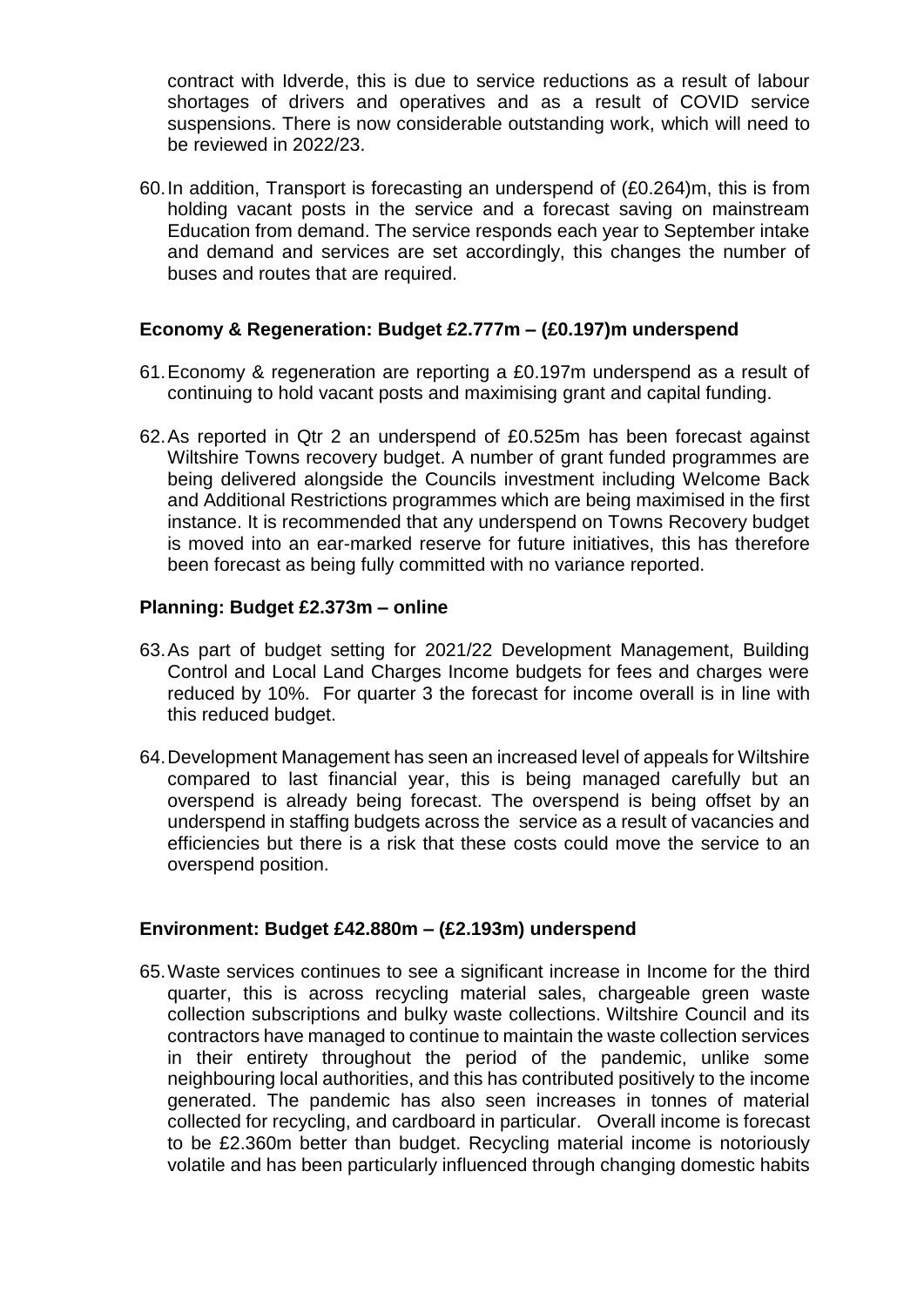contract with Idverde, this is due to service reductions as a result of labour shortages of drivers and operatives and as a result of COVID service suspensions. There is now considerable outstanding work, which will need to be reviewed in 2022/23.

60.In addition, Transport is forecasting an underspend of (£0.264)m, this is from holding vacant posts in the service and a forecast saving on mainstream Education from demand. The service responds each year to September intake and demand and services are set accordingly, this changes the number of buses and routes that are required.

#### **Economy & Regeneration: Budget £2.777m – (£0.197)m underspend**

- 61.Economy & regeneration are reporting a £0.197m underspend as a result of continuing to hold vacant posts and maximising grant and capital funding.
- 62.As reported in Qtr 2 an underspend of £0.525m has been forecast against Wiltshire Towns recovery budget. A number of grant funded programmes are being delivered alongside the Councils investment including Welcome Back and Additional Restrictions programmes which are being maximised in the first instance. It is recommended that any underspend on Towns Recovery budget is moved into an ear-marked reserve for future initiatives, this has therefore been forecast as being fully committed with no variance reported.

#### **Planning: Budget £2.373m – online**

- 63.As part of budget setting for 2021/22 Development Management, Building Control and Local Land Charges Income budgets for fees and charges were reduced by 10%. For quarter 3 the forecast for income overall is in line with this reduced budget.
- 64.Development Management has seen an increased level of appeals for Wiltshire compared to last financial year, this is being managed carefully but an overspend is already being forecast. The overspend is being offset by an underspend in staffing budgets across the service as a result of vacancies and efficiencies but there is a risk that these costs could move the service to an overspend position.

#### **Environment: Budget £42.880m – (£2.193m) underspend**

65.Waste services continues to see a significant increase in Income for the third quarter, this is across recycling material sales, chargeable green waste collection subscriptions and bulky waste collections. Wiltshire Council and its contractors have managed to continue to maintain the waste collection services in their entirety throughout the period of the pandemic, unlike some neighbouring local authorities, and this has contributed positively to the income generated. The pandemic has also seen increases in tonnes of material collected for recycling, and cardboard in particular. Overall income is forecast to be £2.360m better than budget. Recycling material income is notoriously volatile and has been particularly influenced through changing domestic habits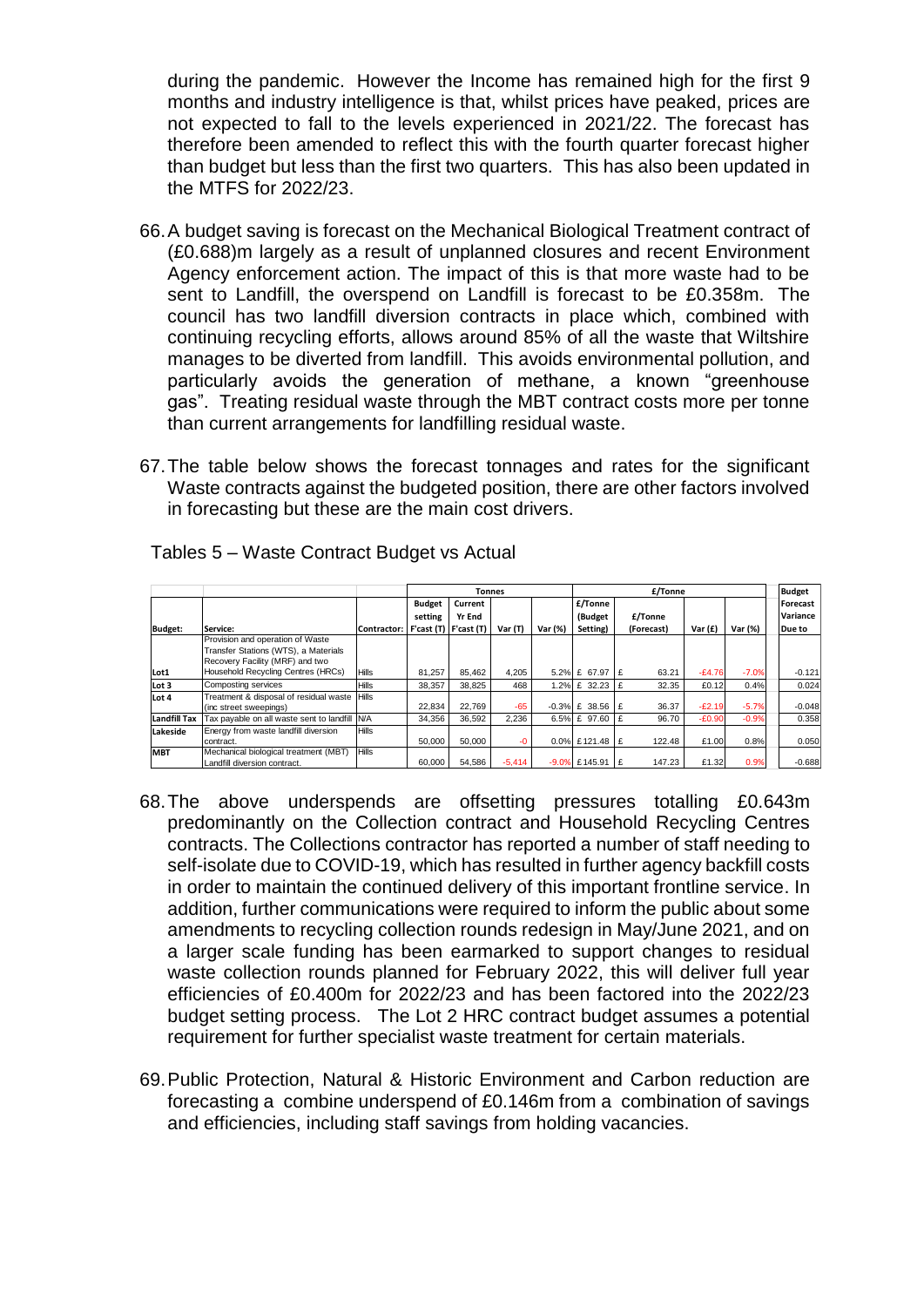during the pandemic. However the Income has remained high for the first 9 months and industry intelligence is that, whilst prices have peaked, prices are not expected to fall to the levels experienced in 2021/22. The forecast has therefore been amended to reflect this with the fourth quarter forecast higher than budget but less than the first two quarters. This has also been updated in the MTFS for 2022/23.

- 66.A budget saving is forecast on the Mechanical Biological Treatment contract of (£0.688)m largely as a result of unplanned closures and recent Environment Agency enforcement action. The impact of this is that more waste had to be sent to Landfill, the overspend on Landfill is forecast to be £0.358m. The council has two landfill diversion contracts in place which, combined with continuing recycling efforts, allows around 85% of all the waste that Wiltshire manages to be diverted from landfill. This avoids environmental pollution, and particularly avoids the generation of methane, a known "greenhouse gas". Treating residual waste through the MBT contract costs more per tonne than current arrangements for landfilling residual waste.
- 67.The table below shows the forecast tonnages and rates for the significant Waste contracts against the budgeted position, there are other factors involved in forecasting but these are the main cost drivers.

|                     |                                                                                                                                                   |                                   |                          |                   | <b>Tonnes</b> |         | £/Tonne            |    |            |           |         | <b>Budget</b>        |
|---------------------|---------------------------------------------------------------------------------------------------------------------------------------------------|-----------------------------------|--------------------------|-------------------|---------------|---------|--------------------|----|------------|-----------|---------|----------------------|
|                     |                                                                                                                                                   |                                   | <b>Budget</b><br>setting | Current<br>Yr End |               |         | £/Tonne<br>(Budget |    | £/Tonne    |           |         | Forecast<br>Variance |
| <b>Budget:</b>      | Service:                                                                                                                                          | Contractor: F'cast (T) F'cast (T) |                          |                   | Var(T)        | Var (%) | Setting)           |    | (Forecast) | Var $(f)$ | Var (%) | Due to               |
| Lot1                | Provision and operation of Waste<br>Transfer Stations (WTS), a Materials<br>Recovery Facility (MRF) and two<br>Household Recycling Centres (HRCs) | <b>Hills</b>                      | 81.257                   | 85.462            | 4.205         |         | 5.2% £ 67.97       | E  | 63.21      | $-E4.76$  | $-7.0%$ | $-0.121$             |
| Lot 3               | Composting services                                                                                                                               | <b>Hills</b>                      | 38.357                   | 38.825            | 468           |         | 1.2% £ 32.23       | £  | 32.35      | £0.12     | 0.4%    | 0.024                |
| Lot 4               | Treatment & disposal of residual waste<br>(inc street sweepings)                                                                                  | Hills                             | 22,834                   | 22.769            | -65           |         | $-0.3\%$ £ 38.56   | Ι£ | 36.37      | $-E2.19$  | $-5.7%$ | $-0.048$             |
| <b>Landfill Tax</b> | Tax payable on all waste sent to landfill                                                                                                         | <b>N/A</b>                        | 34.356                   | 36.592            | 2.236         |         | 6.5% £ 97.60       | £  | 96.70      | $-£0.90$  | $-0.9%$ | 0.358                |
| Lakeside            | Energy from waste landfill diversion<br>contract.                                                                                                 | <b>Hills</b>                      | 50.000                   | 50.000            | $-0$          |         | 0.0% £121.48       | Ι£ | 122.48     | £1.00     | 0.8%    | 0.050                |
| <b>MBT</b>          | Mechanical biological treatment (MBT)<br>Landfill diversion contract.                                                                             | <b>Hills</b>                      | 60.000                   | 54,586            | $-5,414$      |         | $-9.0\%$ £145.91   | E  | 147.23     | £1.32     | 0.9%    | $-0.688$             |

Tables 5 – Waste Contract Budget vs Actual

- 68.The above underspends are offsetting pressures totalling £0.643m predominantly on the Collection contract and Household Recycling Centres contracts. The Collections contractor has reported a number of staff needing to self-isolate due to COVID-19, which has resulted in further agency backfill costs in order to maintain the continued delivery of this important frontline service. In addition, further communications were required to inform the public about some amendments to recycling collection rounds redesign in May/June 2021, and on a larger scale funding has been earmarked to support changes to residual waste collection rounds planned for February 2022, this will deliver full year efficiencies of £0.400m for 2022/23 and has been factored into the 2022/23 budget setting process. The Lot 2 HRC contract budget assumes a potential requirement for further specialist waste treatment for certain materials.
- 69.Public Protection, Natural & Historic Environment and Carbon reduction are forecasting a combine underspend of £0.146m from a combination of savings and efficiencies, including staff savings from holding vacancies.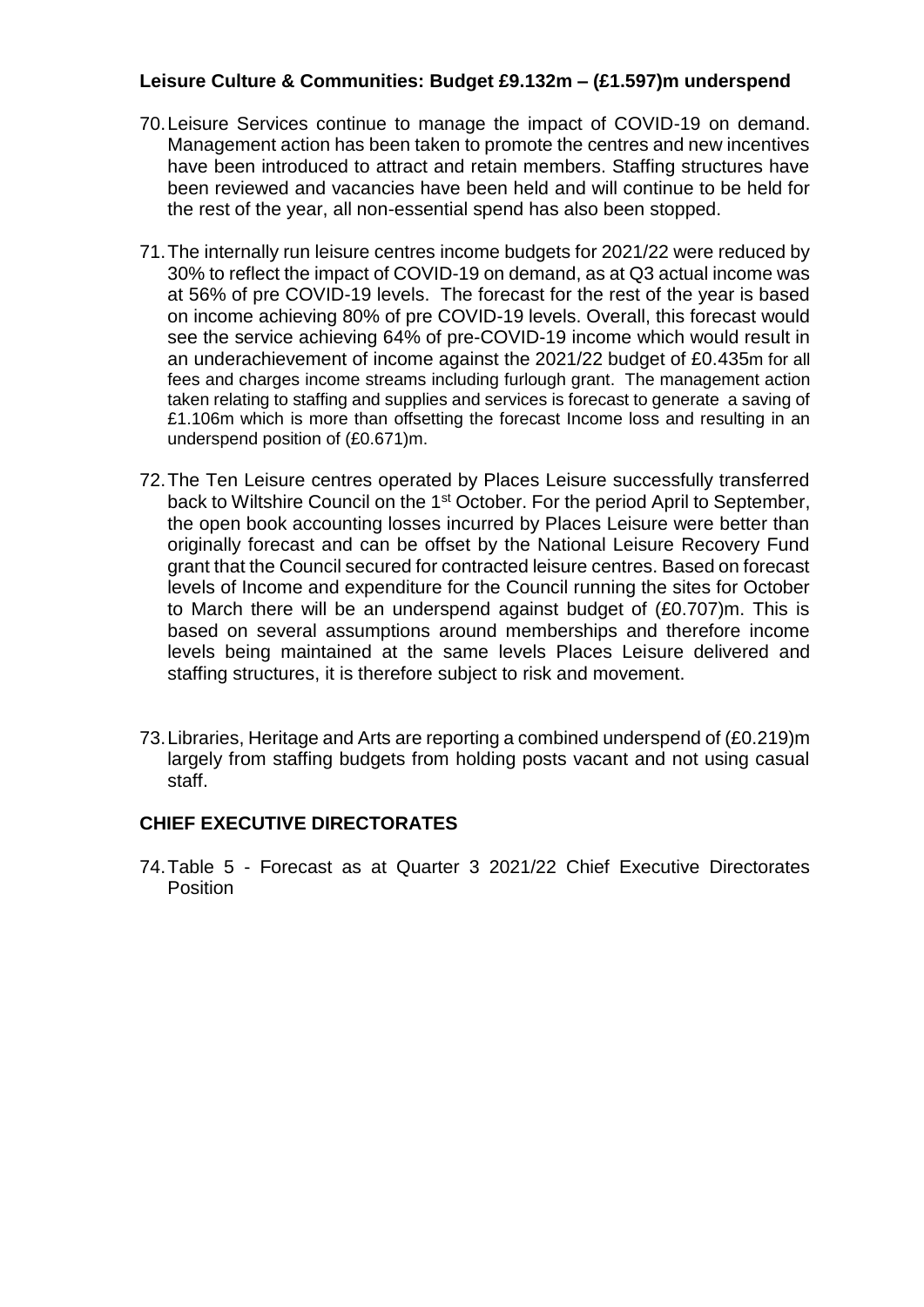#### **Leisure Culture & Communities: Budget £9.132m – (£1.597)m underspend**

- 70.Leisure Services continue to manage the impact of COVID-19 on demand. Management action has been taken to promote the centres and new incentives have been introduced to attract and retain members. Staffing structures have been reviewed and vacancies have been held and will continue to be held for the rest of the year, all non-essential spend has also been stopped.
- 71.The internally run leisure centres income budgets for 2021/22 were reduced by 30% to reflect the impact of COVID-19 on demand, as at Q3 actual income was at 56% of pre COVID-19 levels. The forecast for the rest of the year is based on income achieving 80% of pre COVID-19 levels. Overall, this forecast would see the service achieving 64% of pre-COVID-19 income which would result in an underachievement of income against the 2021/22 budget of £0.435m for all fees and charges income streams including furlough grant. The management action taken relating to staffing and supplies and services is forecast to generate a saving of £1.106m which is more than offsetting the forecast Income loss and resulting in an underspend position of (£0.671)m.
- 72.The Ten Leisure centres operated by Places Leisure successfully transferred back to Wiltshire Council on the 1st October. For the period April to September, the open book accounting losses incurred by Places Leisure were better than originally forecast and can be offset by the National Leisure Recovery Fund grant that the Council secured for contracted leisure centres. Based on forecast levels of Income and expenditure for the Council running the sites for October to March there will be an underspend against budget of (£0.707)m. This is based on several assumptions around memberships and therefore income levels being maintained at the same levels Places Leisure delivered and staffing structures, it is therefore subject to risk and movement.
- 73.Libraries, Heritage and Arts are reporting a combined underspend of (£0.219)m largely from staffing budgets from holding posts vacant and not using casual staff.

#### **CHIEF EXECUTIVE DIRECTORATES**

74.Table 5 - Forecast as at Quarter 3 2021/22 Chief Executive Directorates **Position**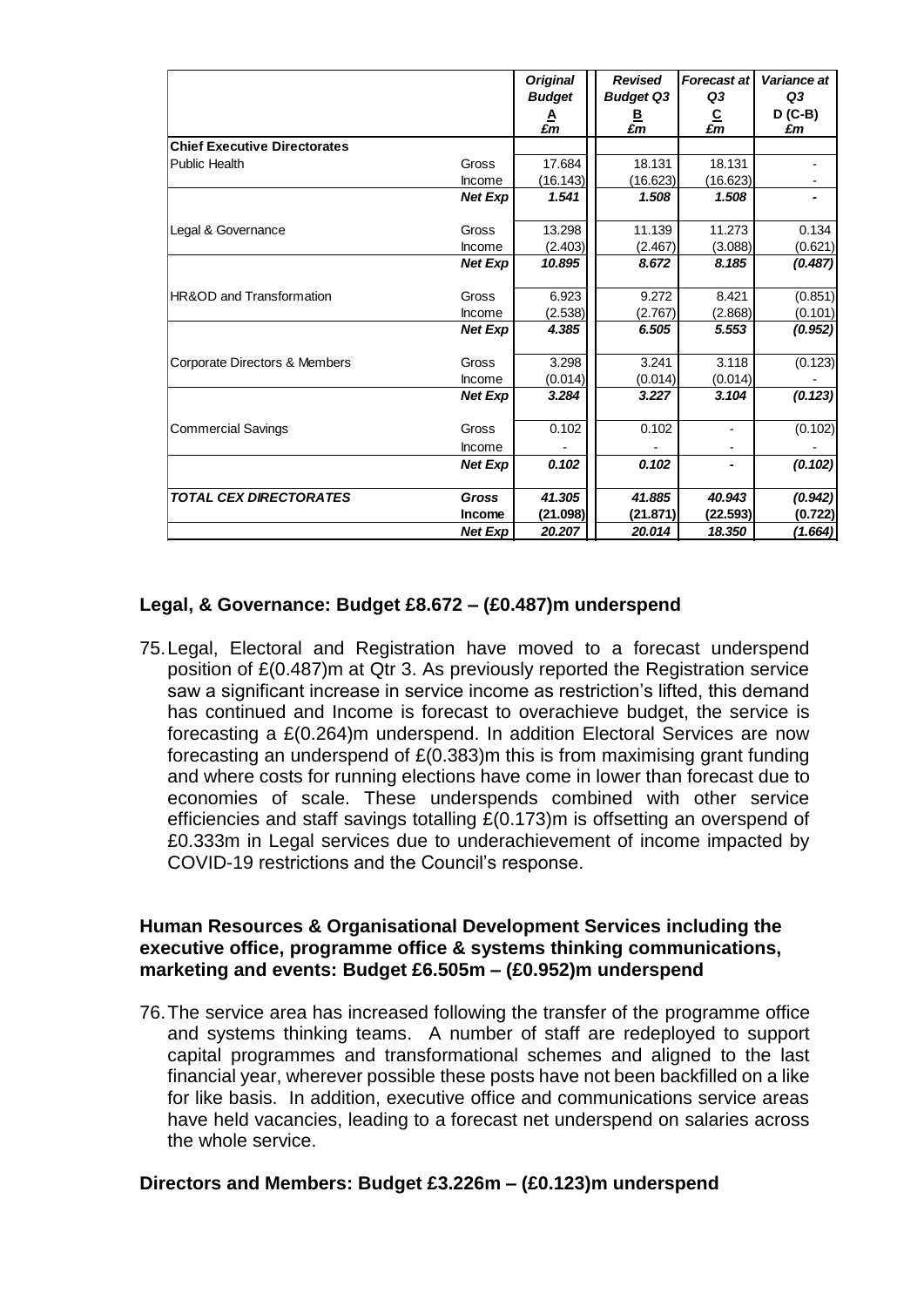|                                      |                | <b>Original</b><br><b>Budget</b> | <b>Revised</b><br><b>Budget Q3</b> | <b>Forecast at</b><br>Q3                 | Variance at<br>Q3 |
|--------------------------------------|----------------|----------------------------------|------------------------------------|------------------------------------------|-------------------|
|                                      |                | $\frac{A}{\pounds m}$            | В<br>£m                            | $\frac{\mathsf{C}}{\pmb{\varepsilon m}}$ | $D(C-B)$<br>£m    |
| <b>Chief Executive Directorates</b>  |                |                                  |                                    |                                          |                   |
| Public Health                        | Gross          | 17.684                           | 18.131                             | 18.131                                   |                   |
|                                      | Income         | (16.143)                         | (16.623)                           | (16.623)                                 |                   |
|                                      | <b>Net Exp</b> | 1.541                            | 1.508                              | 1.508                                    |                   |
| Legal & Governance                   | Gross          | 13.298                           | 11.139                             | 11.273                                   | 0.134             |
|                                      | Income         | (2.403)                          | (2.467)                            | (3.088)                                  | (0.621)           |
|                                      | <b>Net Exp</b> | 10.895                           | 8.672                              | 8.185                                    | (0.487)           |
| <b>IHR&amp;OD and Transformation</b> | Gross          | 6.923                            | 9.272                              | 8.421                                    | (0.851)           |
|                                      | Income         | (2.538)                          | (2.767)                            | (2.868)                                  | (0.101)           |
|                                      | <b>Net Exp</b> | 4.385                            | 6.505                              | 5.553                                    | (0.952)           |
| Corporate Directors & Members        | Gross          | 3.298                            | 3.241                              | 3.118                                    | (0.123)           |
|                                      | Income         | (0.014)                          | (0.014)                            | (0.014)                                  |                   |
|                                      | <b>Net Exp</b> | 3.284                            | 3.227                              | 3.104                                    | (0.123)           |
| Commercial Savings                   | Gross          | 0.102                            | 0.102                              |                                          | (0.102)           |
|                                      | Income         |                                  |                                    |                                          |                   |
|                                      | <b>Net Exp</b> | 0.102                            | 0.102                              |                                          | (0.102)           |
| <b>TOTAL CEX DIRECTORATES</b>        | <b>Gross</b>   | 41.305                           | 41.885                             | 40.943                                   | (0.942)           |
|                                      | Income         | (21.098)                         | (21.871)                           | (22.593)                                 | (0.722)           |
|                                      | <b>Net Exp</b> | 20.207                           | 20.014                             | 18.350                                   | (1.664)           |

### **Legal, & Governance: Budget £8.672 – (£0.487)m underspend**

75.Legal, Electoral and Registration have moved to a forecast underspend position of £(0.487)m at Qtr 3. As previously reported the Registration service saw a significant increase in service income as restriction's lifted, this demand has continued and Income is forecast to overachieve budget, the service is forecasting a £(0.264)m underspend. In addition Electoral Services are now forecasting an underspend of £(0.383)m this is from maximising grant funding and where costs for running elections have come in lower than forecast due to economies of scale. These underspends combined with other service efficiencies and staff savings totalling £(0.173)m is offsetting an overspend of £0.333m in Legal services due to underachievement of income impacted by COVID-19 restrictions and the Council's response.

#### **Human Resources & Organisational Development Services including the executive office, programme office & systems thinking communications, marketing and events: Budget £6.505m – (£0.952)m underspend**

76.The service area has increased following the transfer of the programme office and systems thinking teams. A number of staff are redeployed to support capital programmes and transformational schemes and aligned to the last financial year, wherever possible these posts have not been backfilled on a like for like basis. In addition, executive office and communications service areas have held vacancies, leading to a forecast net underspend on salaries across the whole service.

#### **Directors and Members: Budget £3.226m – (£0.123)m underspend**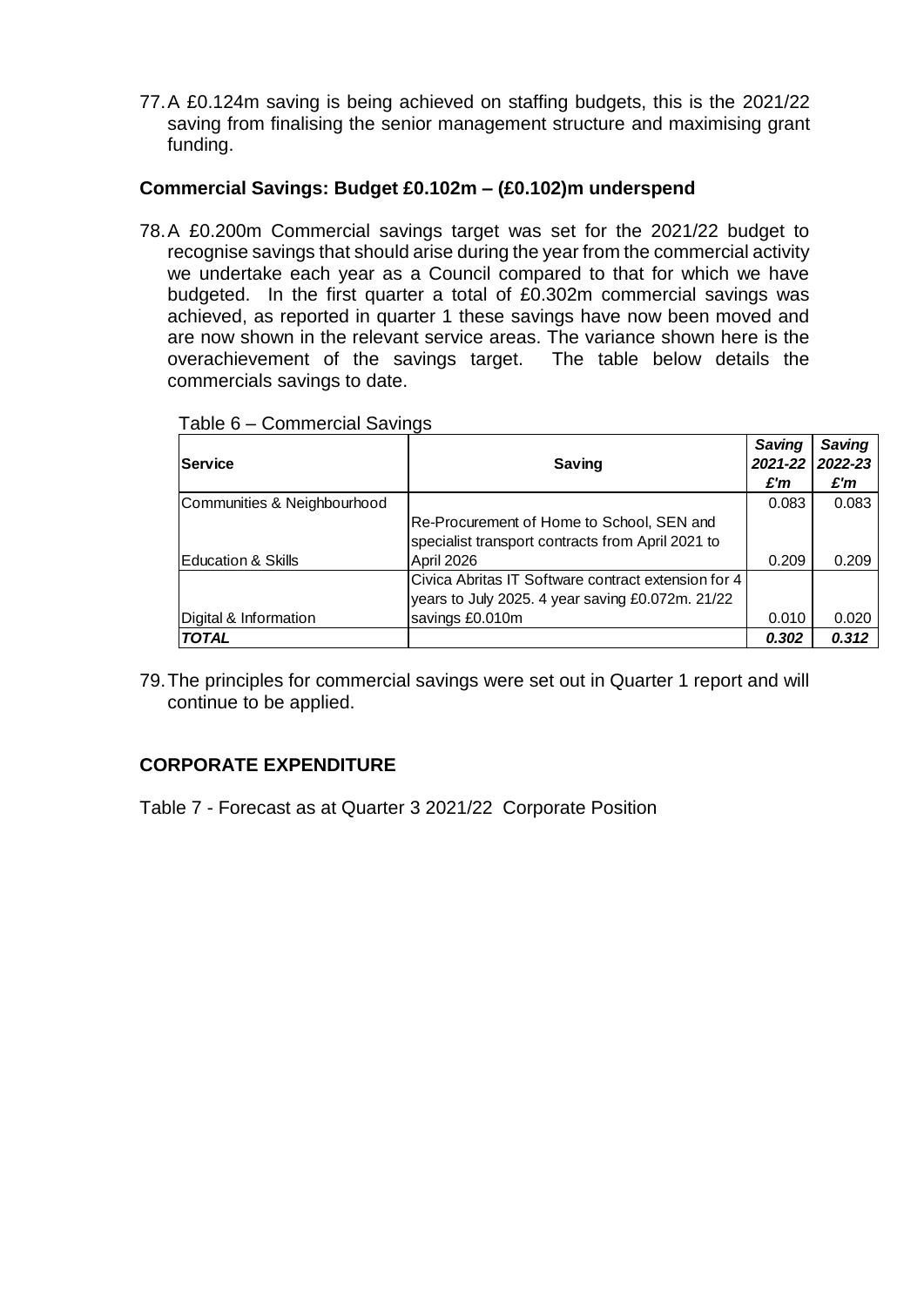77.A £0.124m saving is being achieved on staffing budgets, this is the 2021/22 saving from finalising the senior management structure and maximising grant funding.

#### **Commercial Savings: Budget £0.102m – (£0.102)m underspend**

78.A £0.200m Commercial savings target was set for the 2021/22 budget to recognise savings that should arise during the year from the commercial activity we undertake each year as a Council compared to that for which we have budgeted. In the first quarter a total of £0.302m commercial savings was achieved, as reported in quarter 1 these savings have now been moved and are now shown in the relevant service areas. The variance shown here is the overachievement of the savings target. The table below details the commercials savings to date.

| <b>Service</b>                | Saving                                              | Saving<br>2021-22 | <b>Saving</b><br>2022-23 |
|-------------------------------|-----------------------------------------------------|-------------------|--------------------------|
|                               |                                                     | £'m               | £'m                      |
| Communities & Neighbourhood   |                                                     | 0.083             | 0.083                    |
|                               | Re-Procurement of Home to School, SEN and           |                   |                          |
|                               | specialist transport contracts from April 2021 to   |                   |                          |
| <b>Education &amp; Skills</b> | April 2026                                          | 0.209             | 0.209                    |
|                               | Civica Abritas IT Software contract extension for 4 |                   |                          |
|                               | years to July 2025. 4 year saving £0.072m. 21/22    |                   |                          |
| Digital & Information         | savings £0.010m                                     | 0.010             | 0.020                    |
| <b>TOTAL</b>                  |                                                     | 0.302             | 0.312                    |

Table 6 – Commercial Savings

79.The principles for commercial savings were set out in Quarter 1 report and will continue to be applied.

## **CORPORATE EXPENDITURE**

Table 7 - Forecast as at Quarter 3 2021/22 Corporate Position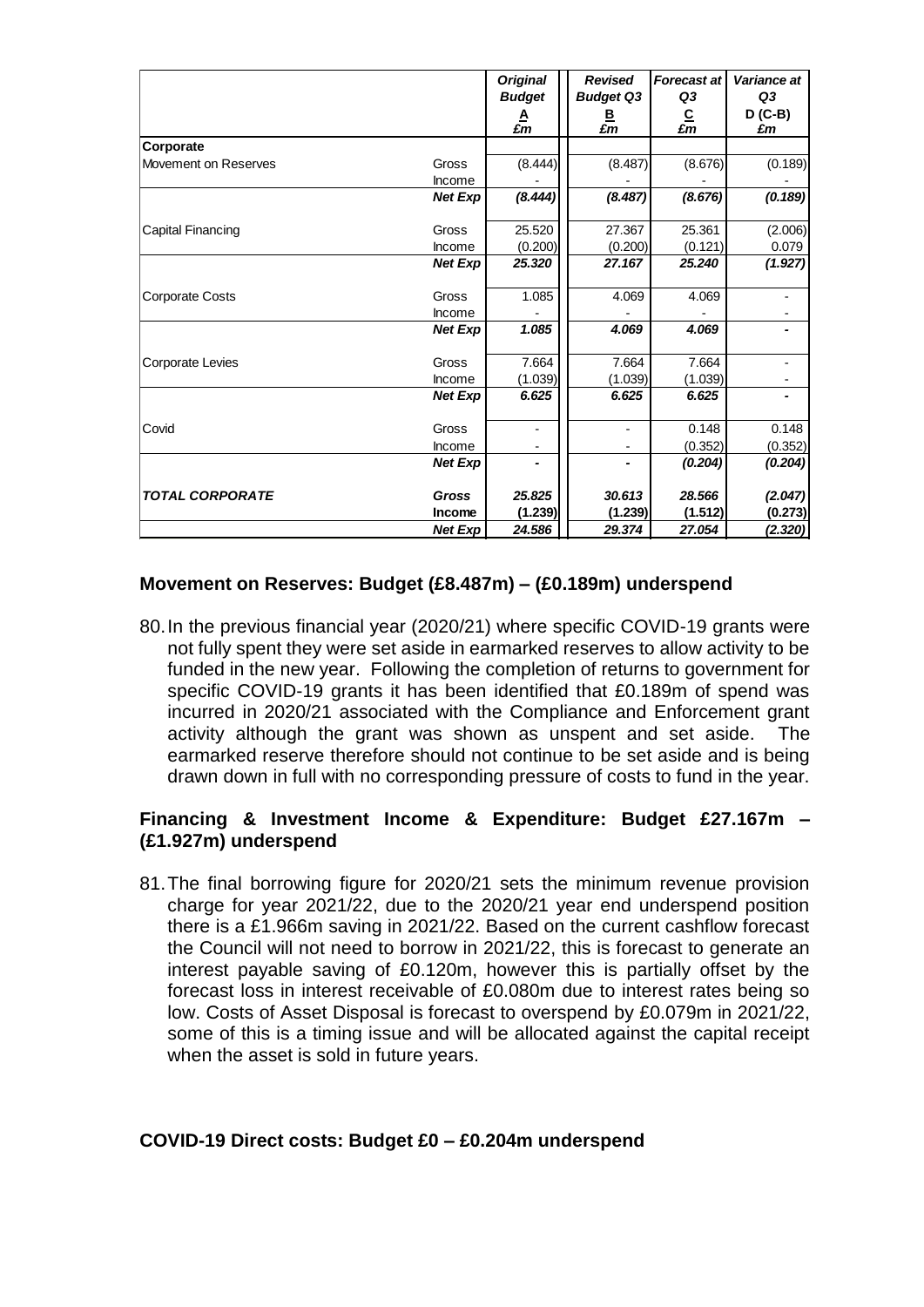|                          |                 | <b>Original</b><br><b>Budget</b><br>£m | <b>Revised</b><br><b>Budget Q3</b><br>$\frac{\mathsf{B}}{\mathsf{E}m}$ | <b>Forecast at</b><br>Q3<br>$\frac{\mathsf{C}}{\pmb{\varepsilon m}}$ | Variance at<br>Q3<br>$D(C-B)$<br>£m |
|--------------------------|-----------------|----------------------------------------|------------------------------------------------------------------------|----------------------------------------------------------------------|-------------------------------------|
| Corporate                |                 |                                        |                                                                        |                                                                      |                                     |
| Movement on Reserves     | Gross<br>Income | (8.444)                                | (8.487)                                                                | (8.676)                                                              | (0.189)                             |
|                          | <b>Net Exp</b>  | (8.444)                                | (8.487)                                                                | (8.676)                                                              | (0.189)                             |
| <b>Capital Financing</b> | Gross           | 25.520                                 | 27.367                                                                 | 25.361                                                               | (2.006)                             |
|                          | Income          | (0.200)                                | (0.200)                                                                | (0.121)                                                              | 0.079                               |
|                          | <b>Net Exp</b>  | 25.320                                 | 27.167                                                                 | 25.240                                                               | (1.927)                             |
| Corporate Costs          | Gross           | 1.085                                  | 4.069                                                                  | 4.069                                                                |                                     |
|                          | Income          |                                        |                                                                        |                                                                      |                                     |
|                          | <b>Net Exp</b>  | 1.085                                  | 4.069                                                                  | 4.069                                                                |                                     |
| <b>Corporate Levies</b>  | Gross           | 7.664                                  | 7.664                                                                  | 7.664                                                                |                                     |
|                          | Income          | (1.039)                                | (1.039)                                                                | (1.039)                                                              |                                     |
|                          | <b>Net Exp</b>  | 6.625                                  | 6.625                                                                  | 6.625                                                                |                                     |
| Covid                    | Gross           |                                        |                                                                        | 0.148                                                                | 0.148                               |
|                          | Income          |                                        |                                                                        | (0.352)                                                              | (0.352)                             |
|                          | <b>Net Exp</b>  |                                        | -                                                                      | (0.204)                                                              | (0.204)                             |
| <b>TOTAL CORPORATE</b>   | <b>Gross</b>    | 25.825                                 | 30.613                                                                 | 28.566                                                               | (2.047)                             |
|                          | Income          | (1.239)                                | (1.239)                                                                | (1.512)                                                              | (0.273)                             |
|                          | <b>Net Exp</b>  | 24.586                                 | 29.374                                                                 | 27.054                                                               | (2.320)                             |

#### **Movement on Reserves: Budget (£8.487m) – (£0.189m) underspend**

80.In the previous financial year (2020/21) where specific COVID-19 grants were not fully spent they were set aside in earmarked reserves to allow activity to be funded in the new year. Following the completion of returns to government for specific COVID-19 grants it has been identified that £0.189m of spend was incurred in 2020/21 associated with the Compliance and Enforcement grant activity although the grant was shown as unspent and set aside. The earmarked reserve therefore should not continue to be set aside and is being drawn down in full with no corresponding pressure of costs to fund in the year.

### **Financing & Investment Income & Expenditure: Budget £27.167m – (£1.927m) underspend**

81.The final borrowing figure for 2020/21 sets the minimum revenue provision charge for year 2021/22, due to the 2020/21 year end underspend position there is a £1.966m saving in 2021/22. Based on the current cashflow forecast the Council will not need to borrow in 2021/22, this is forecast to generate an interest payable saving of £0.120m, however this is partially offset by the forecast loss in interest receivable of £0.080m due to interest rates being so low. Costs of Asset Disposal is forecast to overspend by £0.079m in 2021/22, some of this is a timing issue and will be allocated against the capital receipt when the asset is sold in future years.

#### **COVID-19 Direct costs: Budget £0 – £0.204m underspend**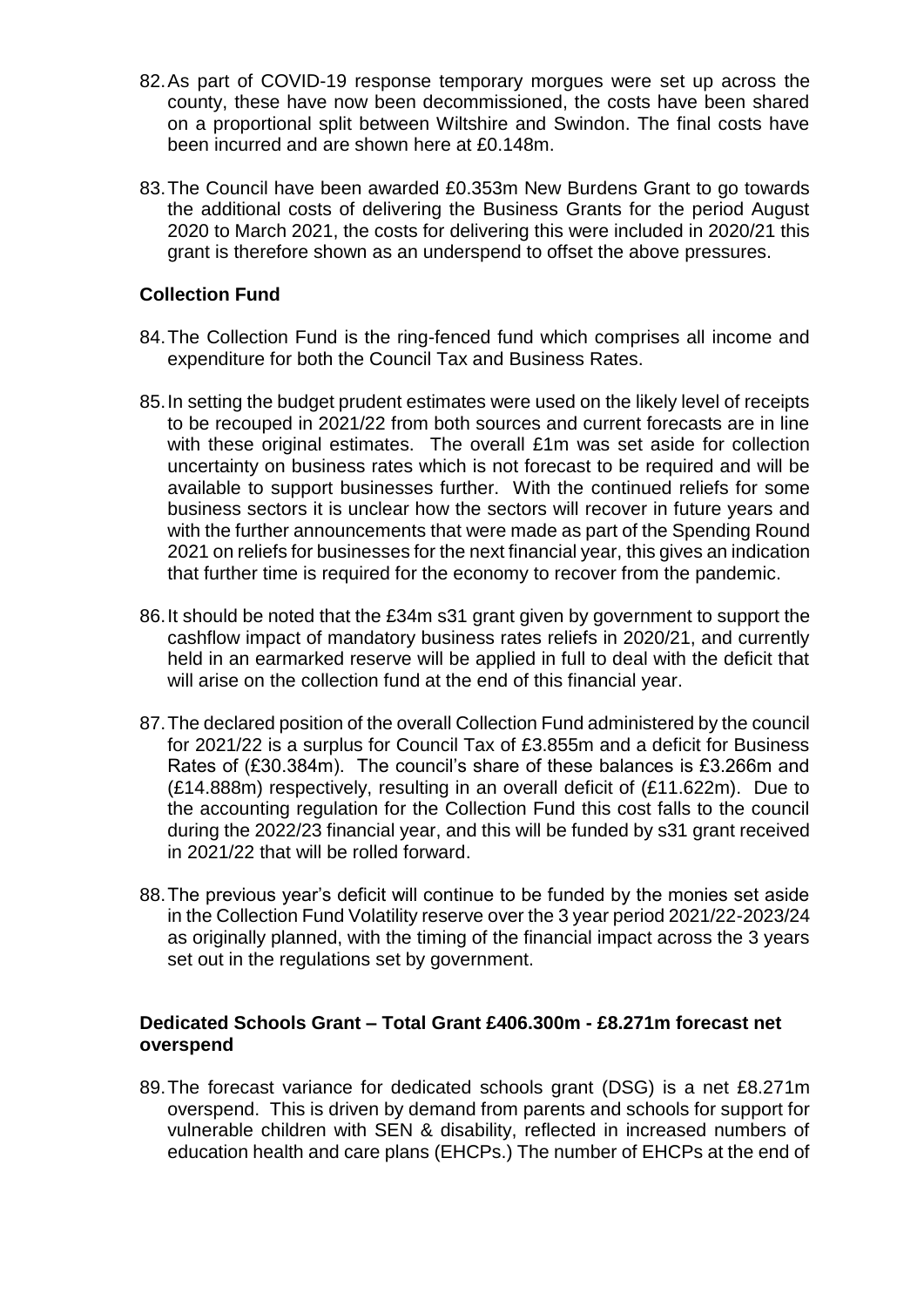- 82.As part of COVID-19 response temporary morgues were set up across the county, these have now been decommissioned, the costs have been shared on a proportional split between Wiltshire and Swindon. The final costs have been incurred and are shown here at £0.148m.
- 83.The Council have been awarded £0.353m New Burdens Grant to go towards the additional costs of delivering the Business Grants for the period August 2020 to March 2021, the costs for delivering this were included in 2020/21 this grant is therefore shown as an underspend to offset the above pressures.

#### **Collection Fund**

- 84.The Collection Fund is the ring-fenced fund which comprises all income and expenditure for both the Council Tax and Business Rates.
- 85.In setting the budget prudent estimates were used on the likely level of receipts to be recouped in 2021/22 from both sources and current forecasts are in line with these original estimates. The overall £1m was set aside for collection uncertainty on business rates which is not forecast to be required and will be available to support businesses further. With the continued reliefs for some business sectors it is unclear how the sectors will recover in future years and with the further announcements that were made as part of the Spending Round 2021 on reliefs for businesses for the next financial year, this gives an indication that further time is required for the economy to recover from the pandemic.
- 86.It should be noted that the £34m s31 grant given by government to support the cashflow impact of mandatory business rates reliefs in 2020/21, and currently held in an earmarked reserve will be applied in full to deal with the deficit that will arise on the collection fund at the end of this financial year.
- 87.The declared position of the overall Collection Fund administered by the council for 2021/22 is a surplus for Council Tax of £3.855m and a deficit for Business Rates of (£30.384m). The council's share of these balances is £3.266m and (£14.888m) respectively, resulting in an overall deficit of (£11.622m). Due to the accounting regulation for the Collection Fund this cost falls to the council during the 2022/23 financial year, and this will be funded by s31 grant received in 2021/22 that will be rolled forward.
- 88.The previous year's deficit will continue to be funded by the monies set aside in the Collection Fund Volatility reserve over the 3 year period 2021/22-2023/24 as originally planned, with the timing of the financial impact across the 3 years set out in the regulations set by government.

#### **Dedicated Schools Grant – Total Grant £406.300m - £8.271m forecast net overspend**

89.The forecast variance for dedicated schools grant (DSG) is a net £8.271m overspend. This is driven by demand from parents and schools for support for vulnerable children with SEN & disability, reflected in increased numbers of education health and care plans (EHCPs.) The number of EHCPs at the end of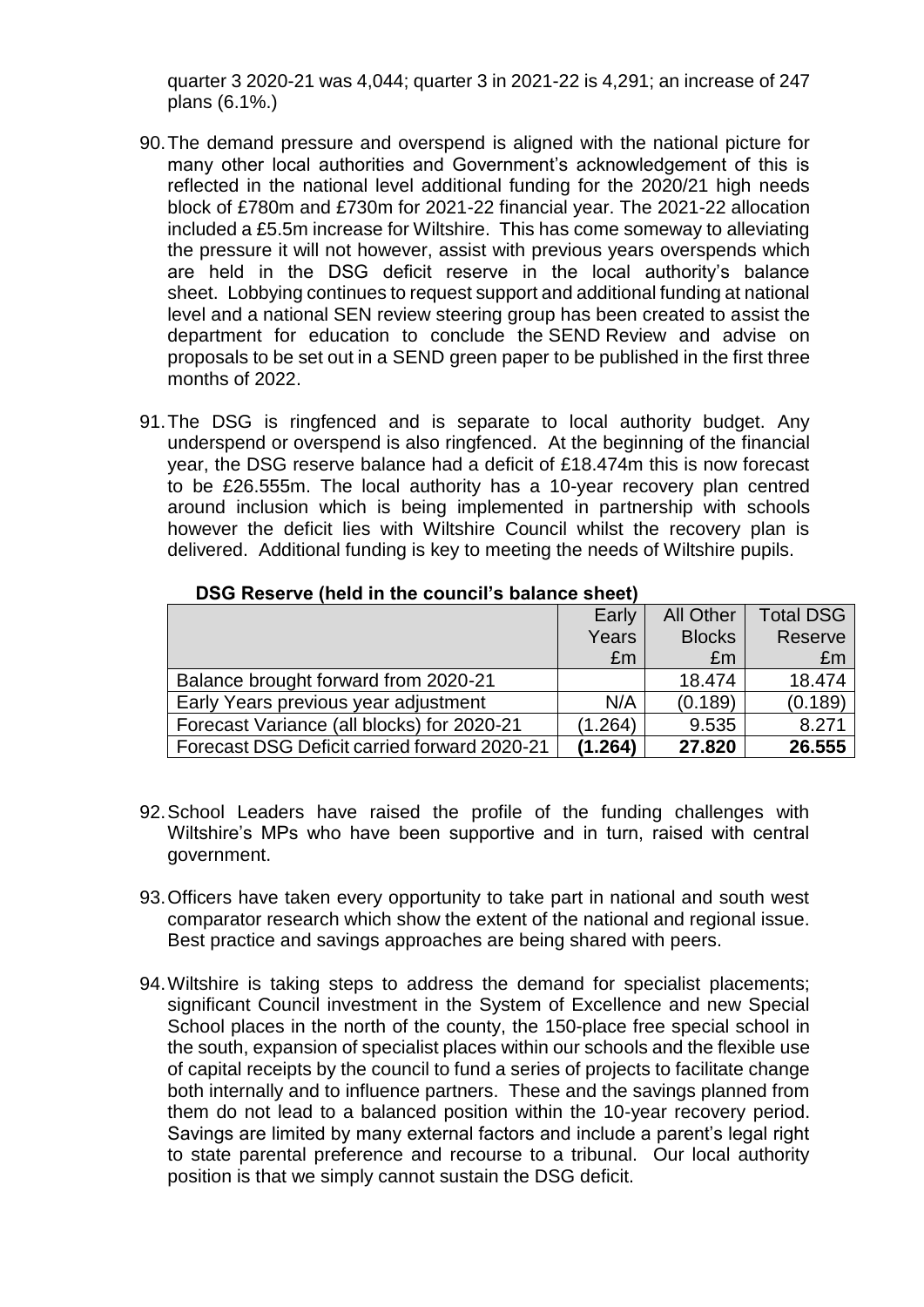quarter 3 2020-21 was 4,044; quarter 3 in 2021-22 is 4,291; an increase of 247 plans (6.1%.)

- 90.The demand pressure and overspend is aligned with the national picture for many other local authorities and Government's acknowledgement of this is reflected in the national level additional funding for the 2020/21 high needs block of £780m and £730m for 2021-22 financial year. The 2021-22 allocation included a £5.5m increase for Wiltshire. This has come someway to alleviating the pressure it will not however, assist with previous years overspends which are held in the DSG deficit reserve in the local authority's balance sheet. Lobbying continues to request support and additional funding at national level and a national SEN review steering group has been created to assist the department for education to conclude the SEND Review and advise on proposals to be set out in a SEND green paper to be published in the first three months of 2022.
- 91.The DSG is ringfenced and is separate to local authority budget. Any underspend or overspend is also ringfenced. At the beginning of the financial year, the DSG reserve balance had a deficit of £18.474m this is now forecast to be £26.555m. The local authority has a 10-year recovery plan centred around inclusion which is being implemented in partnership with schools however the deficit lies with Wiltshire Council whilst the recovery plan is delivered. Additional funding is key to meeting the needs of Wiltshire pupils.

|                                              | Early   | <b>All Other</b> | <b>Total DSG</b> |
|----------------------------------------------|---------|------------------|------------------|
|                                              | Years   | <b>Blocks</b>    | Reserve          |
|                                              | £m      | £m               | £m               |
| Balance brought forward from 2020-21         |         | 18.474           | 18.474           |
| Early Years previous year adjustment         | N/A     | (0.189)          | (0.189)          |
| Forecast Variance (all blocks) for 2020-21   | (1.264) | 9.535            | 8.271            |
| Forecast DSG Deficit carried forward 2020-21 | (1.264) | 27,820           | 26.555           |

#### **DSG Reserve (held in the council's balance sheet)**

- 92.School Leaders have raised the profile of the funding challenges with Wiltshire's MPs who have been supportive and in turn, raised with central government.
- 93.Officers have taken every opportunity to take part in national and south west comparator research which show the extent of the national and regional issue. Best practice and savings approaches are being shared with peers.
- 94.Wiltshire is taking steps to address the demand for specialist placements; significant Council investment in the System of Excellence and new Special School places in the north of the county, the 150-place free special school in the south, expansion of specialist places within our schools and the flexible use of capital receipts by the council to fund a series of projects to facilitate change both internally and to influence partners. These and the savings planned from them do not lead to a balanced position within the 10-year recovery period. Savings are limited by many external factors and include a parent's legal right to state parental preference and recourse to a tribunal. Our local authority position is that we simply cannot sustain the DSG deficit.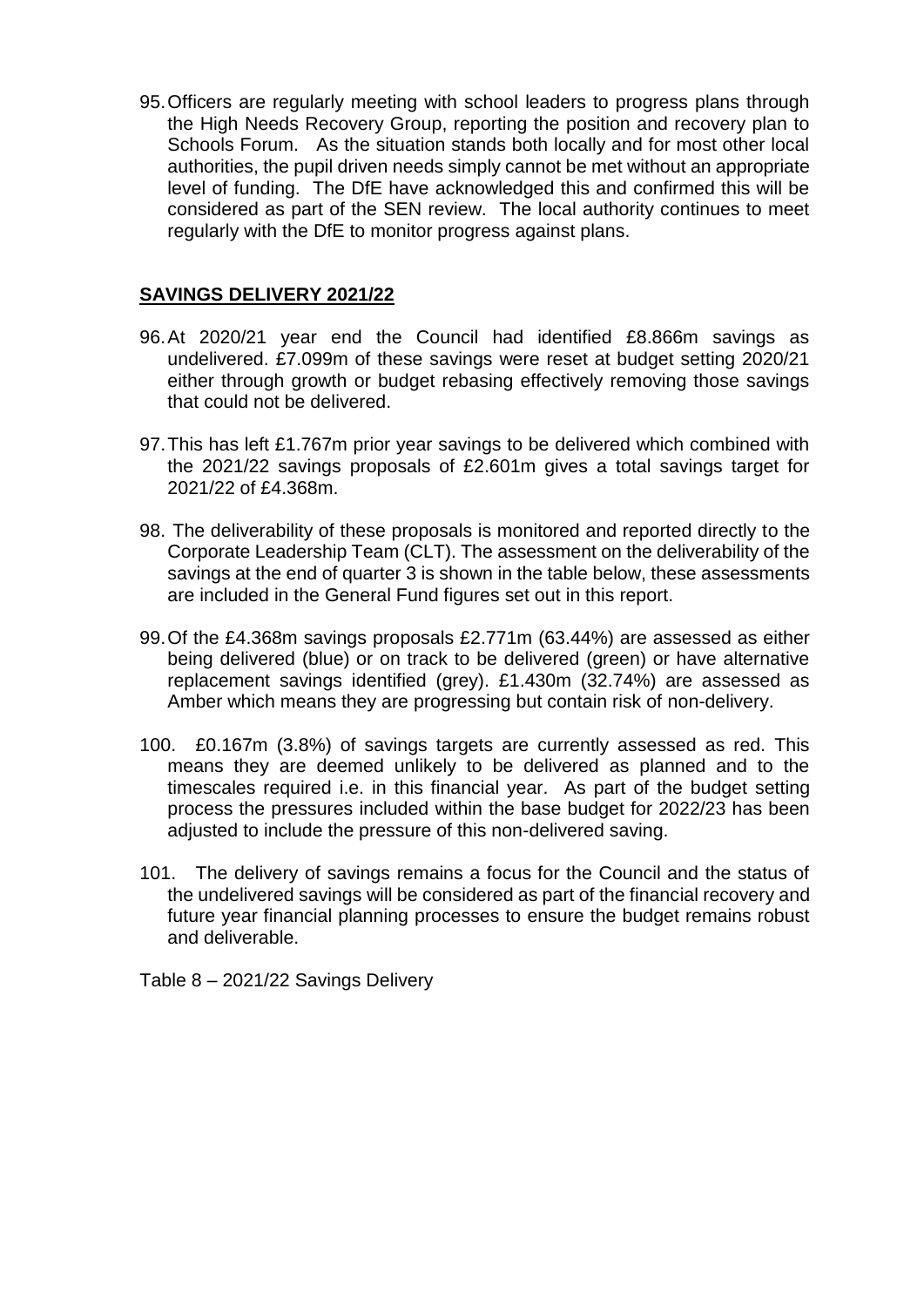95.Officers are regularly meeting with school leaders to progress plans through the High Needs Recovery Group, reporting the position and recovery plan to Schools Forum. As the situation stands both locally and for most other local authorities, the pupil driven needs simply cannot be met without an appropriate level of funding. The DfE have acknowledged this and confirmed this will be considered as part of the SEN review. The local authority continues to meet regularly with the DfE to monitor progress against plans.

#### **SAVINGS DELIVERY 2021/22**

- 96.At 2020/21 year end the Council had identified £8.866m savings as undelivered. £7.099m of these savings were reset at budget setting 2020/21 either through growth or budget rebasing effectively removing those savings that could not be delivered.
- 97.This has left £1.767m prior year savings to be delivered which combined with the 2021/22 savings proposals of £2.601m gives a total savings target for 2021/22 of £4.368m.
- 98. The deliverability of these proposals is monitored and reported directly to the Corporate Leadership Team (CLT). The assessment on the deliverability of the savings at the end of quarter 3 is shown in the table below, these assessments are included in the General Fund figures set out in this report.
- 99.Of the £4.368m savings proposals £2.771m (63.44%) are assessed as either being delivered (blue) or on track to be delivered (green) or have alternative replacement savings identified (grey). £1.430m (32.74%) are assessed as Amber which means they are progressing but contain risk of non-delivery.
- 100. £0.167m (3.8%) of savings targets are currently assessed as red. This means they are deemed unlikely to be delivered as planned and to the timescales required i.e. in this financial year. As part of the budget setting process the pressures included within the base budget for 2022/23 has been adjusted to include the pressure of this non-delivered saving.
- 101. The delivery of savings remains a focus for the Council and the status of the undelivered savings will be considered as part of the financial recovery and future year financial planning processes to ensure the budget remains robust and deliverable.

Table 8 – 2021/22 Savings Delivery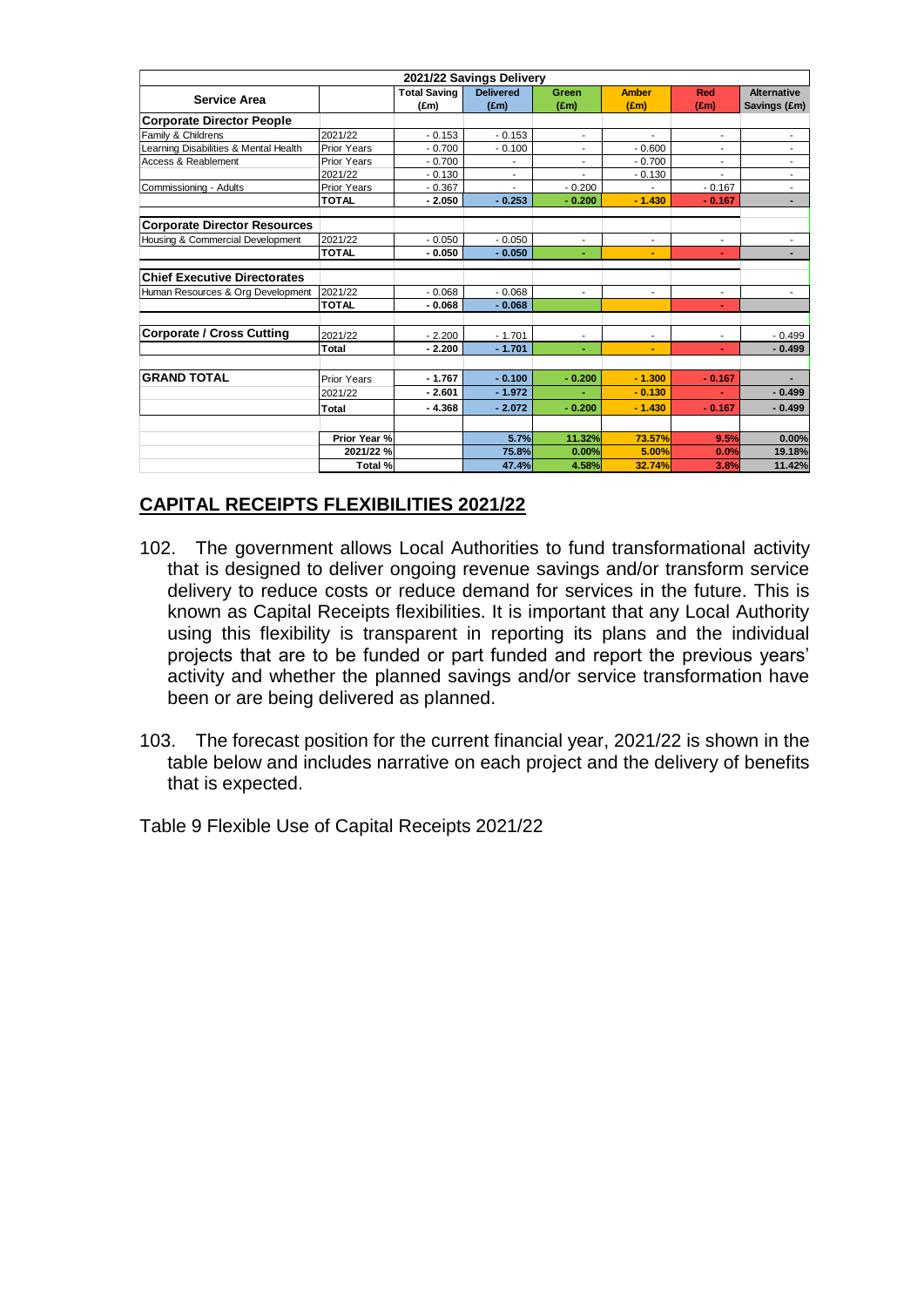| 2021/22 Savings Delivery              |                    |                     |                  |                          |                          |                          |                          |
|---------------------------------------|--------------------|---------------------|------------------|--------------------------|--------------------------|--------------------------|--------------------------|
| <b>Service Area</b>                   |                    | <b>Total Saving</b> | <b>Delivered</b> | <b>Green</b>             | <b>Amber</b>             | Red                      | <b>Alternative</b>       |
|                                       |                    | (f.m)               | $(\text{Em})$    | (f.m)                    | (f.m)                    | $(\text{fm})$            | Savings (£m)             |
| <b>Corporate Director People</b>      |                    |                     |                  |                          |                          |                          |                          |
| Family & Childrens                    | 2021/22            | $-0.153$            | $-0.153$         | $\blacksquare$           | $\blacksquare$           | $\blacksquare$           | ٠                        |
| Learning Disabilities & Mental Health | Prior Years        | $-0.700$            | $-0.100$         |                          | $-0.600$                 |                          | ٠                        |
| Access & Reablement                   | <b>Prior Years</b> | $-0.700$            |                  | $\overline{\phantom{a}}$ | $-0.700$                 | $\blacksquare$           | $\overline{\phantom{a}}$ |
|                                       | 2021/22            | $-0.130$            | ٠                |                          | $-0.130$                 |                          |                          |
| Commissioning - Adults                | Prior Years        | $-0.367$            |                  | $-0.200$                 |                          | $-0.167$                 | ٠                        |
|                                       | <b>TOTAL</b>       | $-2.050$            | $-0.253$         | $-0.200$                 | $-1.430$                 | $-0.167$                 | ٠                        |
| <b>Corporate Director Resources</b>   |                    |                     |                  |                          |                          |                          |                          |
| Housing & Commercial Development      | 2021/22            | $-0.050$            | $-0.050$         | ÷,                       | $\overline{\phantom{a}}$ |                          |                          |
|                                       | <b>TOTAL</b>       | $-0.050$            | $-0.050$         | ٠                        | ٠                        | ٠                        | ٠                        |
| <b>Chief Executive Directorates</b>   |                    |                     |                  |                          |                          |                          |                          |
| Human Resources & Org Development     | 2021/22            | $-0.068$            | $-0.068$         | ÷,                       | $\overline{\phantom{a}}$ | $\overline{\phantom{a}}$ | ٠                        |
|                                       | <b>TOTAL</b>       | $-0.068$            | $-0.068$         |                          |                          |                          |                          |
|                                       |                    |                     |                  |                          |                          |                          |                          |
| <b>Corporate / Cross Cutting</b>      | 2021/22            | $-2.200$            | $-1.701$         |                          | $\blacksquare$           | ٠                        | $-0.499$                 |
|                                       | Total              | $-2.200$            | $-1.701$         | ٠                        | ٠                        |                          | $-0.499$                 |
| <b>GRAND TOTAL</b>                    | Prior Years        | $-1.767$            | $-0.100$         | $-0.200$                 | $-1.300$                 | $-0.167$                 |                          |
|                                       | 2021/22            | $-2.601$            | $-1.972$         |                          | $-0.130$                 |                          | $-0.499$                 |
|                                       |                    |                     |                  |                          |                          | $\sim$                   |                          |
|                                       | Total              | $-4.368$            | $-2.072$         | $-0.200$                 | $-1.430$                 | $-0.167$                 | $-0.499$                 |
|                                       | Prior Year %       |                     | 5.7%             | 11.32%                   | 73.57%                   | 9.5%                     | 0.00%                    |
|                                       | 2021/22 %          |                     | 75.8%            | 0.00%                    | 5.00%                    | 0.0%                     | 19.18%                   |
|                                       | Total %            |                     | 47.4%            | 4.58%                    | 32.74%                   | 3.8%                     | 11.42%                   |
|                                       |                    |                     |                  |                          |                          |                          |                          |

## **CAPITAL RECEIPTS FLEXIBILITIES 2021/22**

- 102. The government allows Local Authorities to fund transformational activity that is designed to deliver ongoing revenue savings and/or transform service delivery to reduce costs or reduce demand for services in the future. This is known as Capital Receipts flexibilities. It is important that any Local Authority using this flexibility is transparent in reporting its plans and the individual projects that are to be funded or part funded and report the previous years' activity and whether the planned savings and/or service transformation have been or are being delivered as planned.
- 103. The forecast position for the current financial year, 2021/22 is shown in the table below and includes narrative on each project and the delivery of benefits that is expected.

Table 9 Flexible Use of Capital Receipts 2021/22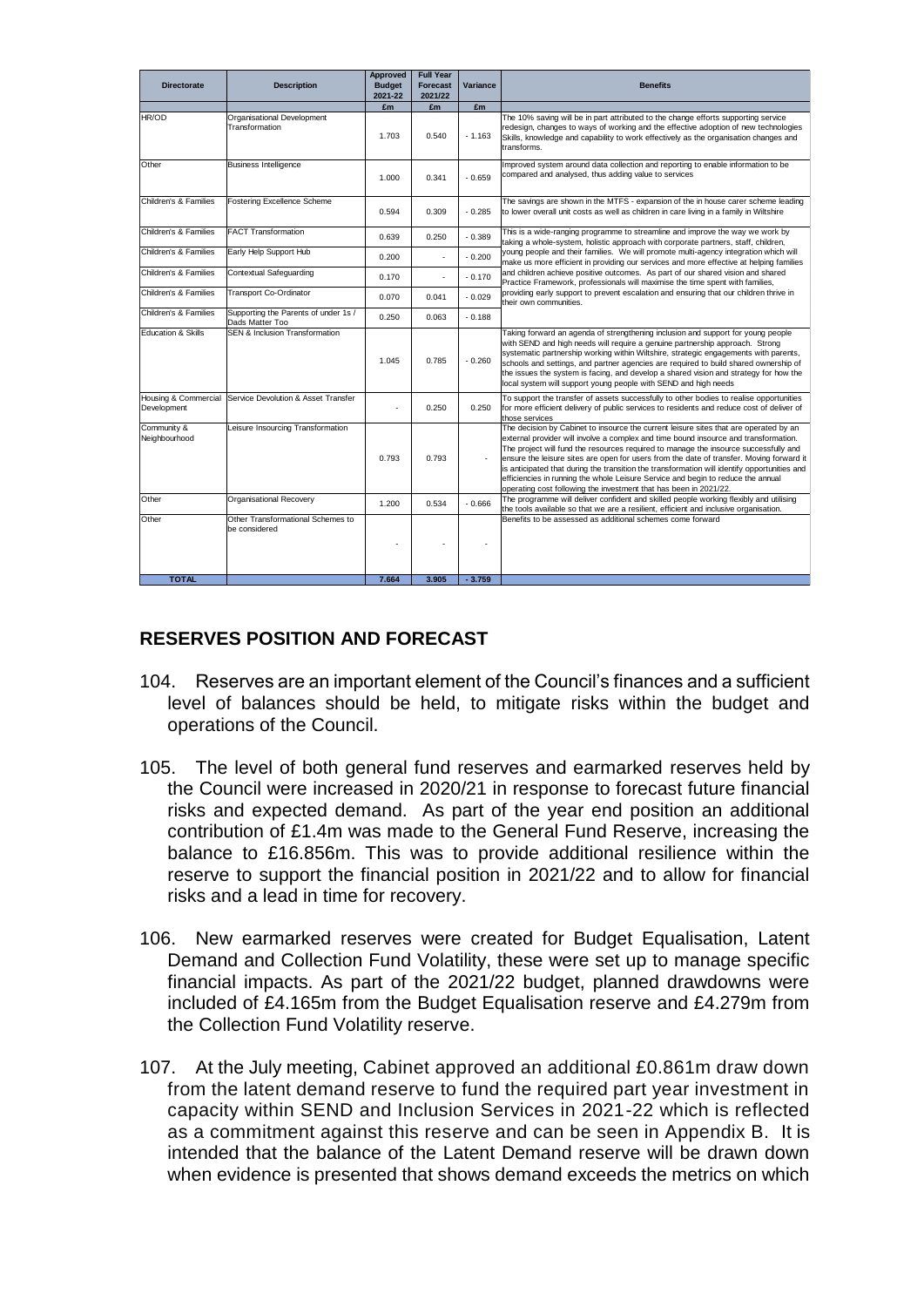| <b>Directorate</b>           | <b>Description</b>                                       | <b>Approved</b><br><b>Budget</b><br>2021-22 | <b>Full Year</b><br><b>Forecast</b><br>2021/22 | Variance | <b>Benefits</b>                                                                                                                                                                                                                                                                                                                                                                                                                                                                                                                                                                                                            |
|------------------------------|----------------------------------------------------------|---------------------------------------------|------------------------------------------------|----------|----------------------------------------------------------------------------------------------------------------------------------------------------------------------------------------------------------------------------------------------------------------------------------------------------------------------------------------------------------------------------------------------------------------------------------------------------------------------------------------------------------------------------------------------------------------------------------------------------------------------------|
|                              |                                                          | £m                                          | £m                                             | £m       |                                                                                                                                                                                                                                                                                                                                                                                                                                                                                                                                                                                                                            |
| HR/OD                        | Organisational Development<br>Transformation             | 1.703                                       | 0.540                                          | $-1.163$ | The 10% saving will be in part attributed to the change efforts supporting service<br>redesign, changes to ways of working and the effective adoption of new technologies<br>Skills, knowledge and capability to work effectively as the organisation changes and<br>transforms.                                                                                                                                                                                                                                                                                                                                           |
| Other                        | <b>Business Intelligence</b>                             | 1.000                                       | 0.341                                          | $-0.659$ | Improved system around data collection and reporting to enable information to be<br>compared and analysed, thus adding value to services                                                                                                                                                                                                                                                                                                                                                                                                                                                                                   |
| Children's & Families        | Fostering Excellence Scheme                              | 0.594                                       | 0.309                                          | $-0.285$ | The savings are shown in the MTFS - expansion of the in house carer scheme leading<br>to lower overall unit costs as well as children in care living in a family in Wiltshire                                                                                                                                                                                                                                                                                                                                                                                                                                              |
| Children's & Families        | <b>FACT Transformation</b>                               | 0.639                                       | 0.250                                          | $-0.389$ | This is a wide-ranging programme to streamline and improve the way we work by<br>taking a whole-system, holistic approach with corporate partners, staff, children,                                                                                                                                                                                                                                                                                                                                                                                                                                                        |
| Children's & Families        | Early Help Support Hub                                   | 0.200                                       |                                                | $-0.200$ | young people and their families. We will promote multi-agency integration which will<br>make us more efficient in providing our services and more effective at helping families                                                                                                                                                                                                                                                                                                                                                                                                                                            |
| Children's & Families        | Contextual Safeguarding                                  | 0.170                                       |                                                | $-0.170$ | and children achieve positive outcomes. As part of our shared vision and shared<br>Practice Framework, professionals will maximise the time spent with families,                                                                                                                                                                                                                                                                                                                                                                                                                                                           |
| Children's & Families        | Transport Co-Ordinator                                   | 0.070                                       | 0.041                                          | $-0.029$ | providing early support to prevent escalation and ensuring that our children thrive in<br>their own communities.                                                                                                                                                                                                                                                                                                                                                                                                                                                                                                           |
| Children's & Families        | Supporting the Parents of under 1s /<br>Dads Matter Too  | 0.250                                       | 0.063                                          | $-0.188$ |                                                                                                                                                                                                                                                                                                                                                                                                                                                                                                                                                                                                                            |
| Education & Skills           | <b>SEN &amp; Inclusion Transformation</b>                | 1.045                                       | 0.785                                          | $-0.260$ | Taking forward an agenda of strengthening inclusion and support for young people<br>with SEND and high needs will require a genuine partnership approach. Strong<br>systematic partnership working within Wiltshire, strategic engagements with parents,<br>schools and settings, and partner agencies are required to build shared ownership of<br>the issues the system is facing, and develop a shared vision and strategy for how the<br>local system will support young people with SEND and high needs                                                                                                               |
| Development                  | Housing & Commercial Service Devolution & Asset Transfer |                                             | 0.250                                          | 0.250    | To support the transfer of assets successfully to other bodies to realise opportunities<br>for more efficient delivery of public services to residents and reduce cost of deliver of<br>those services                                                                                                                                                                                                                                                                                                                                                                                                                     |
| Community &<br>Neighbourhood | Leisure Insourcing Transformation                        | 0.793                                       | 0.793                                          |          | The decision by Cabinet to insource the current leisure sites that are operated by an<br>external provider will involve a complex and time bound insource and transformation.<br>The project will fund the resources required to manage the insource successfully and<br>ensure the leisure sites are open for users from the date of transfer. Moving forward it<br>is anticipated that during the transition the transformation will identify opportunities and<br>efficiencies in running the whole Leisure Service and begin to reduce the annual<br>operating cost following the investment that has been in 2021/22. |
| Other                        | Organisational Recovery                                  | 1.200                                       | 0.534                                          | $-0.666$ | The programme will deliver confident and skilled people working flexibly and utilising<br>the tools available so that we are a resilient, efficient and inclusive organisation.                                                                                                                                                                                                                                                                                                                                                                                                                                            |
| Other                        | Other Transformational Schemes to<br>be considered       |                                             |                                                |          | Benefits to be assessed as additional schemes come forward                                                                                                                                                                                                                                                                                                                                                                                                                                                                                                                                                                 |
| <b>TOTAL</b>                 |                                                          | 7.664                                       | 3.905                                          | $-3.759$ |                                                                                                                                                                                                                                                                                                                                                                                                                                                                                                                                                                                                                            |

## **RESERVES POSITION AND FORECAST**

- 104. Reserves are an important element of the Council's finances and a sufficient level of balances should be held, to mitigate risks within the budget and operations of the Council.
- 105. The level of both general fund reserves and earmarked reserves held by the Council were increased in 2020/21 in response to forecast future financial risks and expected demand. As part of the year end position an additional contribution of £1.4m was made to the General Fund Reserve, increasing the balance to £16.856m. This was to provide additional resilience within the reserve to support the financial position in 2021/22 and to allow for financial risks and a lead in time for recovery.
- 106. New earmarked reserves were created for Budget Equalisation, Latent Demand and Collection Fund Volatility, these were set up to manage specific financial impacts. As part of the 2021/22 budget, planned drawdowns were included of £4.165m from the Budget Equalisation reserve and £4.279m from the Collection Fund Volatility reserve.
- 107. At the July meeting, Cabinet approved an additional £0.861m draw down from the latent demand reserve to fund the required part year investment in capacity within SEND and Inclusion Services in 2021-22 which is reflected as a commitment against this reserve and can be seen in Appendix B. It is intended that the balance of the Latent Demand reserve will be drawn down when evidence is presented that shows demand exceeds the metrics on which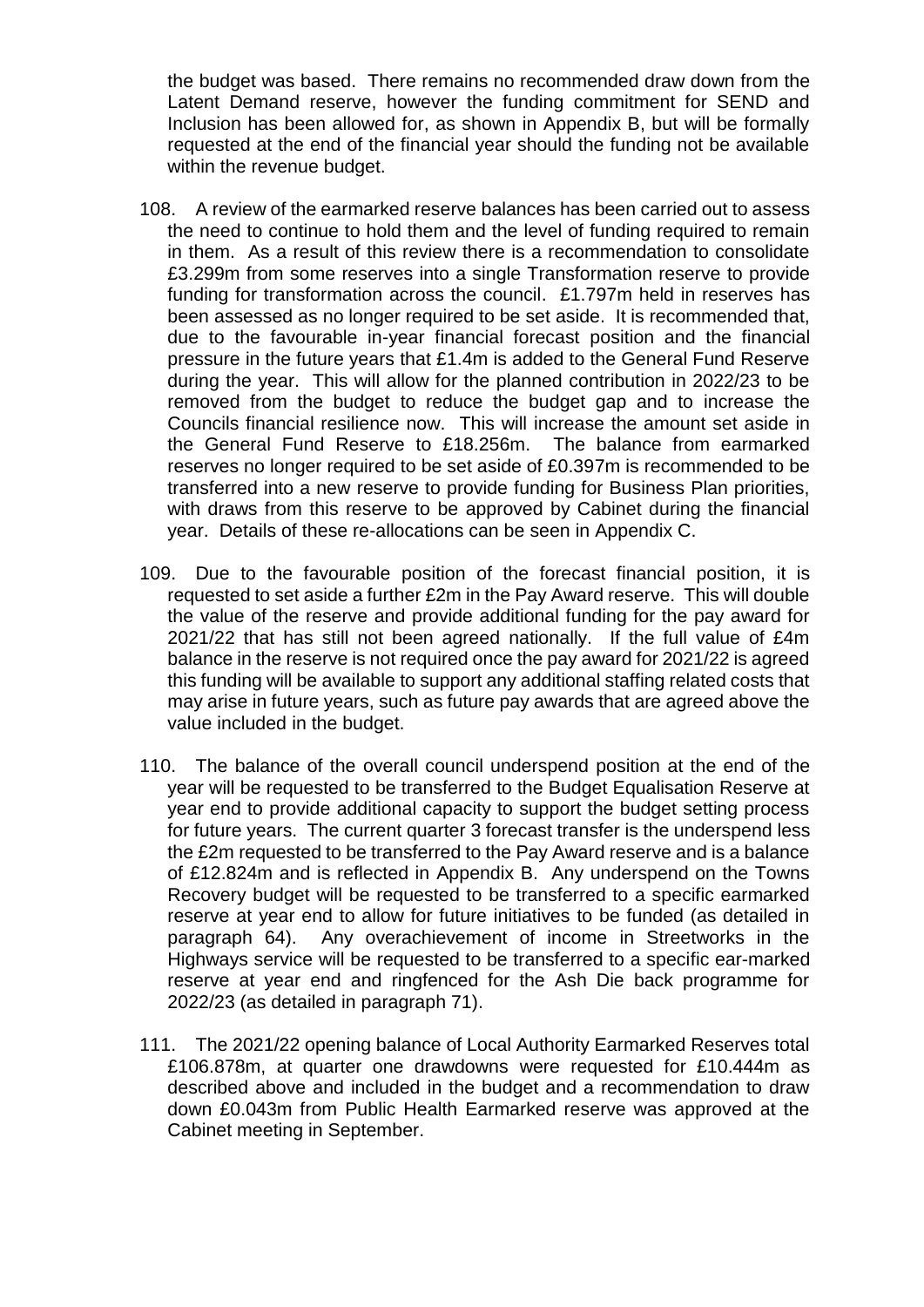the budget was based. There remains no recommended draw down from the Latent Demand reserve, however the funding commitment for SEND and Inclusion has been allowed for, as shown in Appendix B, but will be formally requested at the end of the financial year should the funding not be available within the revenue budget.

- 108. A review of the earmarked reserve balances has been carried out to assess the need to continue to hold them and the level of funding required to remain in them. As a result of this review there is a recommendation to consolidate £3.299m from some reserves into a single Transformation reserve to provide funding for transformation across the council. £1.797m held in reserves has been assessed as no longer required to be set aside. It is recommended that, due to the favourable in-year financial forecast position and the financial pressure in the future years that £1.4m is added to the General Fund Reserve during the year. This will allow for the planned contribution in 2022/23 to be removed from the budget to reduce the budget gap and to increase the Councils financial resilience now. This will increase the amount set aside in the General Fund Reserve to £18.256m. The balance from earmarked reserves no longer required to be set aside of £0.397m is recommended to be transferred into a new reserve to provide funding for Business Plan priorities, with draws from this reserve to be approved by Cabinet during the financial year. Details of these re-allocations can be seen in Appendix C.
- 109. Due to the favourable position of the forecast financial position, it is requested to set aside a further £2m in the Pay Award reserve. This will double the value of the reserve and provide additional funding for the pay award for 2021/22 that has still not been agreed nationally. If the full value of £4m balance in the reserve is not required once the pay award for 2021/22 is agreed this funding will be available to support any additional staffing related costs that may arise in future years, such as future pay awards that are agreed above the value included in the budget.
- 110. The balance of the overall council underspend position at the end of the year will be requested to be transferred to the Budget Equalisation Reserve at year end to provide additional capacity to support the budget setting process for future years. The current quarter 3 forecast transfer is the underspend less the £2m requested to be transferred to the Pay Award reserve and is a balance of £12.824m and is reflected in Appendix B. Any underspend on the Towns Recovery budget will be requested to be transferred to a specific earmarked reserve at year end to allow for future initiatives to be funded (as detailed in paragraph 64). Any overachievement of income in Streetworks in the Highways service will be requested to be transferred to a specific ear-marked reserve at year end and ringfenced for the Ash Die back programme for 2022/23 (as detailed in paragraph 71).
- 111. The 2021/22 opening balance of Local Authority Earmarked Reserves total £106.878m, at quarter one drawdowns were requested for £10.444m as described above and included in the budget and a recommendation to draw down £0.043m from Public Health Earmarked reserve was approved at the Cabinet meeting in September.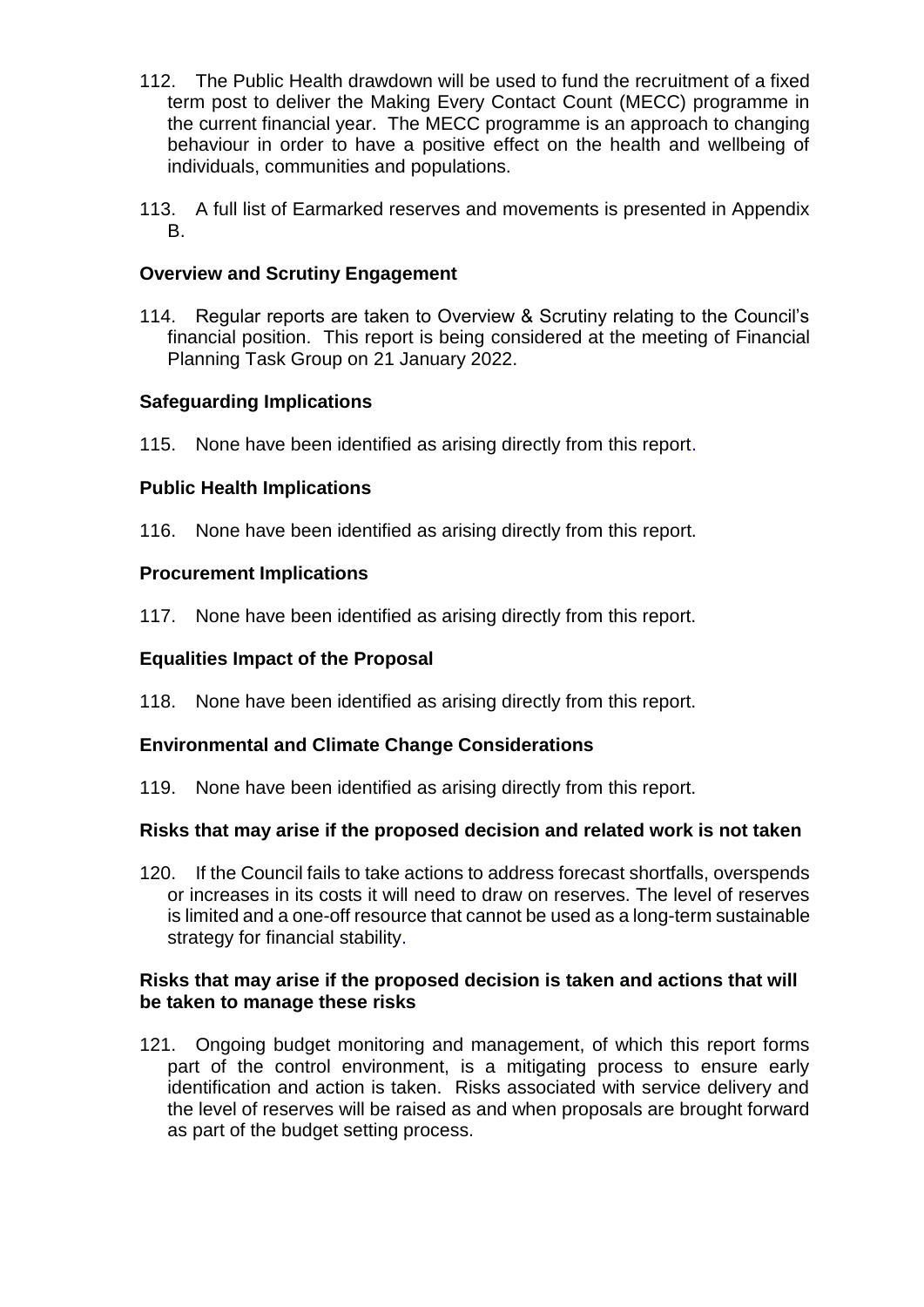- 112. The Public Health drawdown will be used to fund the recruitment of a fixed term post to deliver the Making Every Contact Count (MECC) programme in the current financial year. The MECC programme is an approach to changing behaviour in order to have a positive effect on the health and wellbeing of individuals, communities and populations.
- 113. A full list of Earmarked reserves and movements is presented in Appendix B.

### **Overview and Scrutiny Engagement**

114. Regular reports are taken to Overview & Scrutiny relating to the Council's financial position. This report is being considered at the meeting of Financial Planning Task Group on 21 January 2022.

### **Safeguarding Implications**

115. None have been identified as arising directly from this report.

### **Public Health Implications**

116. None have been identified as arising directly from this report.

### **Procurement Implications**

117. None have been identified as arising directly from this report.

## **Equalities Impact of the Proposal**

118. None have been identified as arising directly from this report.

#### **Environmental and Climate Change Considerations**

119. None have been identified as arising directly from this report.

## **Risks that may arise if the proposed decision and related work is not taken**

120. If the Council fails to take actions to address forecast shortfalls, overspends or increases in its costs it will need to draw on reserves. The level of reserves is limited and a one-off resource that cannot be used as a long-term sustainable strategy for financial stability.

#### **Risks that may arise if the proposed decision is taken and actions that will be taken to manage these risks**

121. Ongoing budget monitoring and management, of which this report forms part of the control environment, is a mitigating process to ensure early identification and action is taken. Risks associated with service delivery and the level of reserves will be raised as and when proposals are brought forward as part of the budget setting process.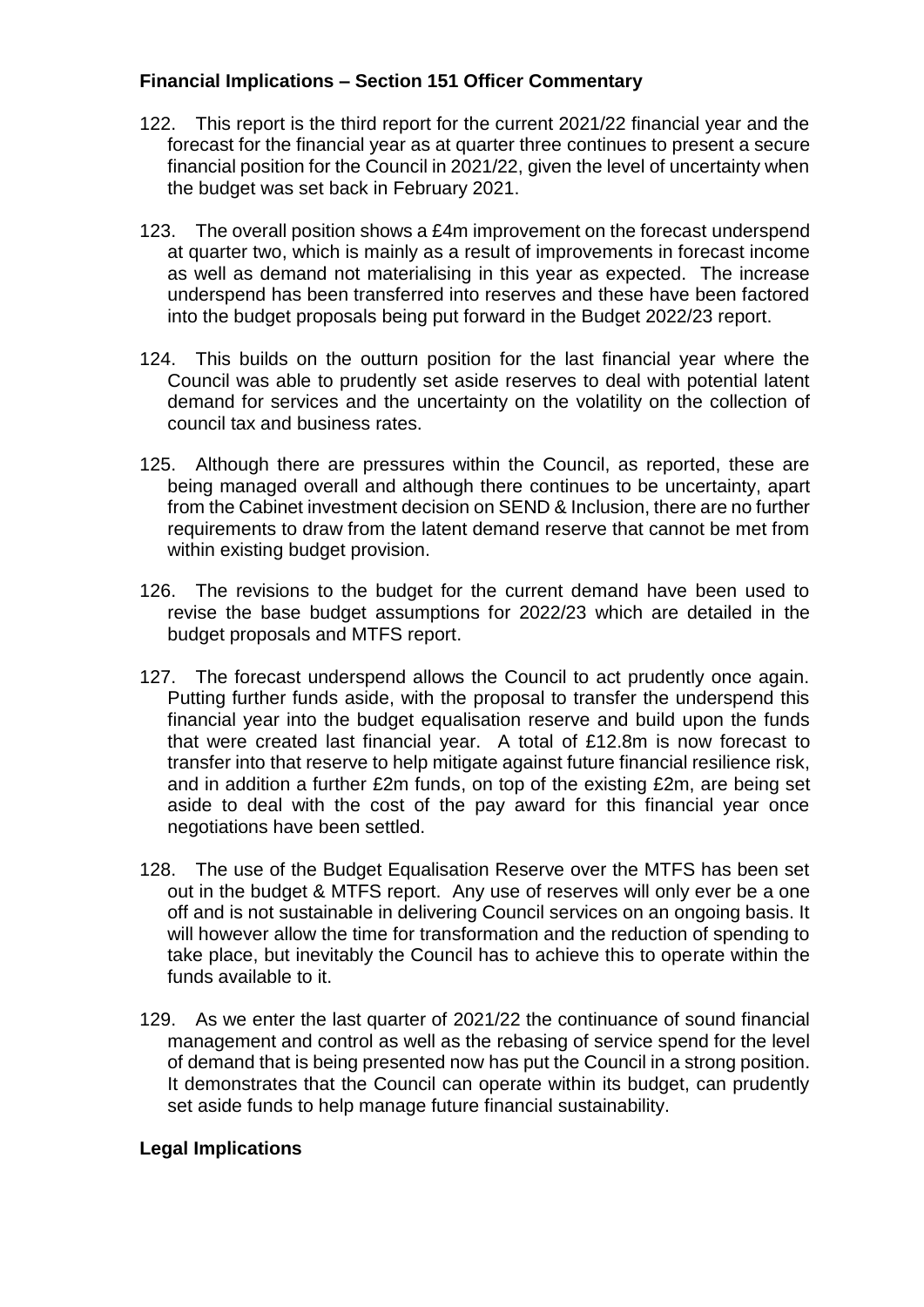## **Financial Implications – Section 151 Officer Commentary**

- 122. This report is the third report for the current 2021/22 financial year and the forecast for the financial year as at quarter three continues to present a secure financial position for the Council in 2021/22, given the level of uncertainty when the budget was set back in February 2021.
- 123. The overall position shows a £4m improvement on the forecast underspend at quarter two, which is mainly as a result of improvements in forecast income as well as demand not materialising in this year as expected. The increase underspend has been transferred into reserves and these have been factored into the budget proposals being put forward in the Budget 2022/23 report.
- 124. This builds on the outturn position for the last financial year where the Council was able to prudently set aside reserves to deal with potential latent demand for services and the uncertainty on the volatility on the collection of council tax and business rates.
- 125. Although there are pressures within the Council, as reported, these are being managed overall and although there continues to be uncertainty, apart from the Cabinet investment decision on SEND & Inclusion, there are no further requirements to draw from the latent demand reserve that cannot be met from within existing budget provision.
- 126. The revisions to the budget for the current demand have been used to revise the base budget assumptions for 2022/23 which are detailed in the budget proposals and MTFS report.
- 127. The forecast underspend allows the Council to act prudently once again. Putting further funds aside, with the proposal to transfer the underspend this financial year into the budget equalisation reserve and build upon the funds that were created last financial year. A total of £12.8m is now forecast to transfer into that reserve to help mitigate against future financial resilience risk, and in addition a further £2m funds, on top of the existing £2m, are being set aside to deal with the cost of the pay award for this financial year once negotiations have been settled.
- 128. The use of the Budget Equalisation Reserve over the MTFS has been set out in the budget & MTFS report. Any use of reserves will only ever be a one off and is not sustainable in delivering Council services on an ongoing basis. It will however allow the time for transformation and the reduction of spending to take place, but inevitably the Council has to achieve this to operate within the funds available to it.
- 129. As we enter the last quarter of 2021/22 the continuance of sound financial management and control as well as the rebasing of service spend for the level of demand that is being presented now has put the Council in a strong position. It demonstrates that the Council can operate within its budget, can prudently set aside funds to help manage future financial sustainability.

#### **Legal Implications**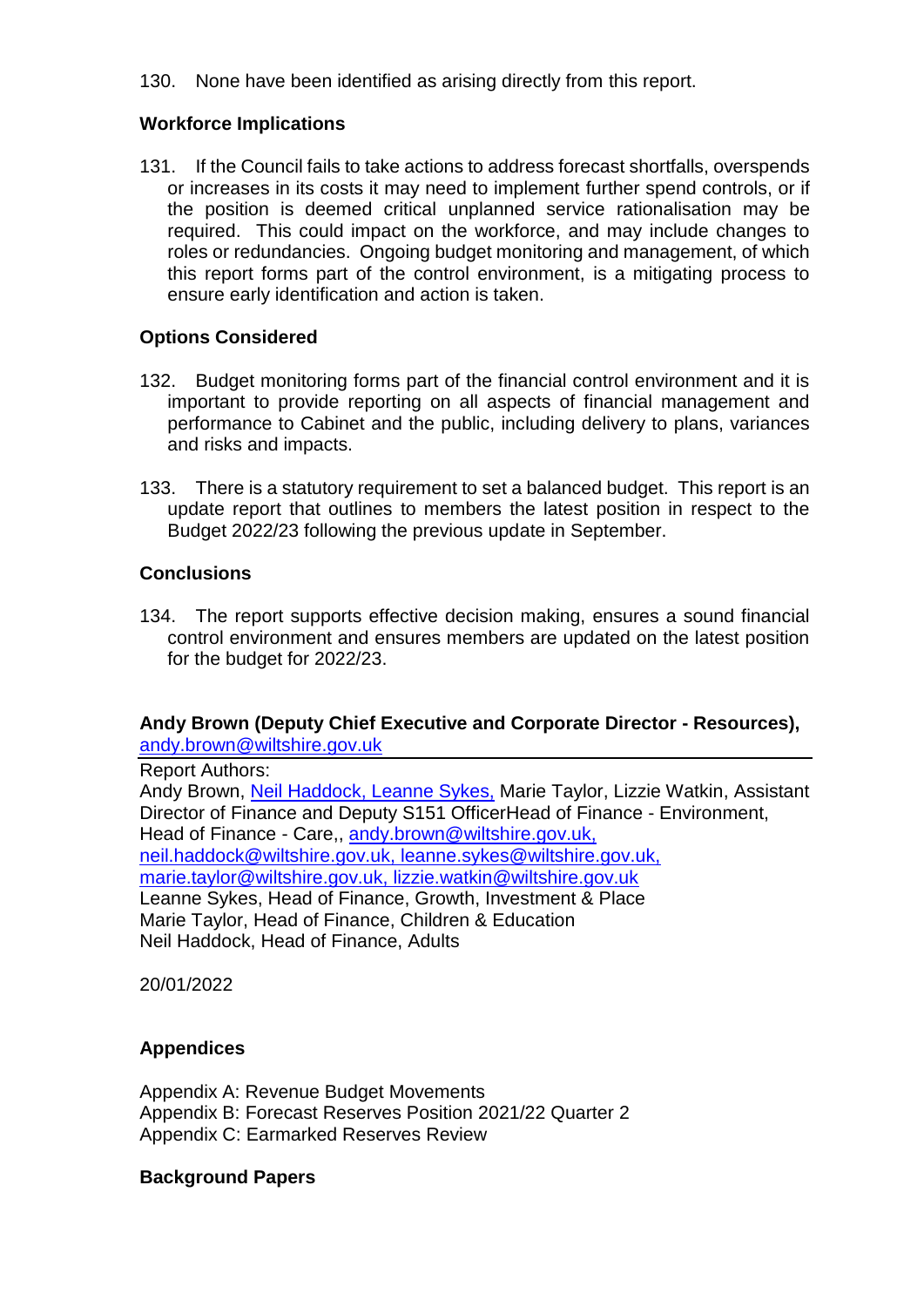130. None have been identified as arising directly from this report.

## **Workforce Implications**

131. If the Council fails to take actions to address forecast shortfalls, overspends or increases in its costs it may need to implement further spend controls, or if the position is deemed critical unplanned service rationalisation may be required. This could impact on the workforce, and may include changes to roles or redundancies. Ongoing budget monitoring and management, of which this report forms part of the control environment, is a mitigating process to ensure early identification and action is taken.

## **Options Considered**

- 132. Budget monitoring forms part of the financial control environment and it is important to provide reporting on all aspects of financial management and performance to Cabinet and the public, including delivery to plans, variances and risks and impacts.
- 133. There is a statutory requirement to set a balanced budget. This report is an update report that outlines to members the latest position in respect to the Budget 2022/23 following the previous update in September.

### **Conclusions**

134. The report supports effective decision making, ensures a sound financial control environment and ensures members are updated on the latest position for the budget for 2022/23.

## **Andy Brown (Deputy Chief Executive and Corporate Director - Resources),**  [andy.brown@wiltshire.gov.uk](mailto:andy.brown@wiltshire.gov.uk)

Report Authors:

Andy Brown, Neil Haddock, Leanne Sykes, Marie Taylor, Lizzie Watkin, Assistant Director of Finance and Deputy S151 OfficerHead of Finance - Environment, Head of Finance - Care,, andy.brown@wiltshire.gov.uk, neil.haddock@wiltshire.gov.uk, leanne.sykes@wiltshire.gov.uk, marie.taylor@wiltshire.gov.uk, lizzie.watkin@wiltshire.gov.uk Leanne Sykes, Head of Finance, Growth, Investment & Place Marie Taylor, Head of Finance, Children & Education Neil Haddock, Head of Finance, Adults

20/01/2022

#### **Appendices**

Appendix A: Revenue Budget Movements Appendix B: Forecast Reserves Position 2021/22 Quarter 2 Appendix C: Earmarked Reserves Review

#### **Background Papers**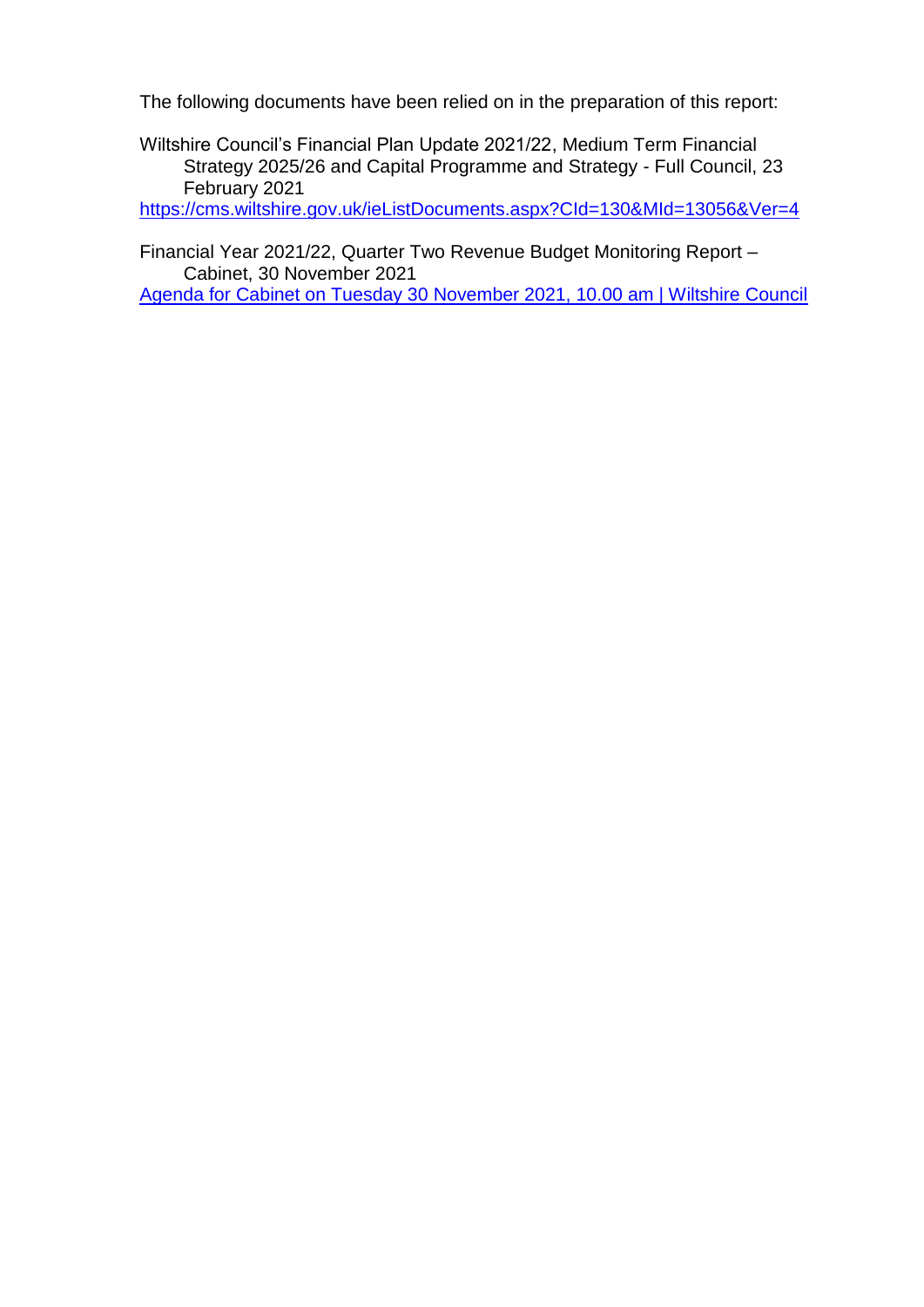The following documents have been relied on in the preparation of this report:

Wiltshire Council's Financial Plan Update 2021/22, Medium Term Financial Strategy 2025/26 and Capital Programme and Strategy - Full Council, 23 February 2021

<https://cms.wiltshire.gov.uk/ieListDocuments.aspx?CId=130&MId=13056&Ver=4>

Financial Year 2021/22, Quarter Two Revenue Budget Monitoring Report – Cabinet, 30 November 2021

[Agenda for Cabinet on Tuesday 30 November 2021, 10.00 am | Wiltshire Council](https://cms.wiltshire.gov.uk/ieListDocuments.aspx?CId=141&MId=13773&Ver=4)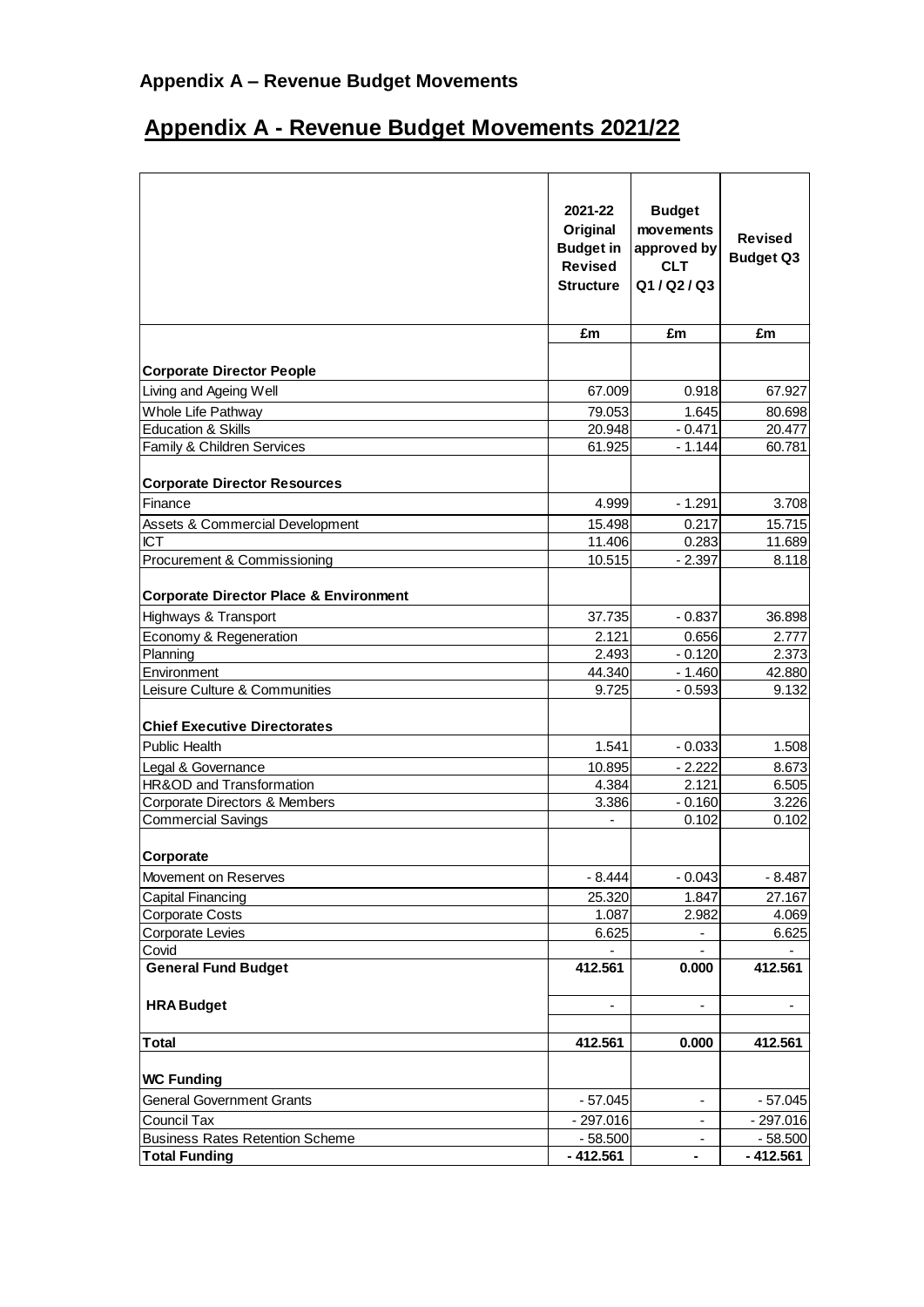## **Appendix A – Revenue Budget Movements**

# **Appendix A - Revenue Budget Movements 2021/22**

|                                                   | 2021-22<br>Original<br><b>Budget in</b><br><b>Revised</b><br><b>Structure</b> | <b>Budget</b><br>movements<br>approved by<br><b>CLT</b><br>Q1/Q2/Q3 | <b>Revised</b><br><b>Budget Q3</b> |
|---------------------------------------------------|-------------------------------------------------------------------------------|---------------------------------------------------------------------|------------------------------------|
|                                                   | £m                                                                            | £m                                                                  | £m                                 |
| <b>Corporate Director People</b>                  |                                                                               |                                                                     |                                    |
| Living and Ageing Well                            | 67.009                                                                        | 0.918                                                               | 67.927                             |
| Whole Life Pathway                                | 79.053                                                                        | 1.645                                                               | 80.698                             |
| <b>Education &amp; Skills</b>                     | 20.948                                                                        | $-0.471$                                                            | 20.477                             |
| Family & Children Services                        | 61.925                                                                        | $-1.144$                                                            | 60.781                             |
| <b>Corporate Director Resources</b>               |                                                                               |                                                                     |                                    |
| Finance                                           | 4.999                                                                         | $-1.291$                                                            | 3.708                              |
| Assets & Commercial Development                   | 15.498                                                                        | 0.217                                                               | 15.715                             |
| <b>ICT</b>                                        | 11.406                                                                        | 0.283                                                               | 11.689                             |
| Procurement & Commissioning                       | 10.515                                                                        | $-2.397$                                                            | 8.118                              |
| <b>Corporate Director Place &amp; Environment</b> |                                                                               |                                                                     |                                    |
| Highways & Transport                              | 37.735                                                                        | $-0.837$                                                            | 36.898                             |
| Economy & Regeneration                            | 2.121                                                                         | 0.656                                                               | 2.777                              |
| Planning                                          | 2.493                                                                         | $-0.120$                                                            | 2.373                              |
| Environment                                       | 44.340                                                                        | $-1.460$                                                            | 42.880                             |
| Leisure Culture & Communities                     | 9.725                                                                         | $-0.593$                                                            | 9.132                              |
| <b>Chief Executive Directorates</b>               |                                                                               |                                                                     |                                    |
| Public Health                                     | 1.541                                                                         | $-0.033$                                                            | 1.508                              |
| Legal & Governance                                | 10.895                                                                        | $-2.222$                                                            | 8.673                              |
| HR&OD and Transformation                          | 4.384                                                                         | 2.121                                                               | 6.505                              |
| Corporate Directors & Members                     | 3.386                                                                         | $-0.160$                                                            | 3.226                              |
| <b>Commercial Savings</b>                         |                                                                               | 0.102                                                               | 0.102                              |
| Corporate                                         |                                                                               |                                                                     |                                    |
| Movement on Reserves                              | $-8.444$                                                                      | $-0.043$                                                            | $-8.487$                           |
| <b>Capital Financing</b>                          | 25.320                                                                        | 1.847                                                               | 27.167                             |
| <b>Corporate Costs</b>                            | 1.087                                                                         | 2.982                                                               | 4.069                              |
| <b>Corporate Levies</b>                           | 6.625                                                                         |                                                                     | 6.625                              |
| Covid                                             |                                                                               |                                                                     |                                    |
| <b>General Fund Budget</b>                        | 412.561                                                                       | 0.000                                                               | 412.561                            |
| <b>HRA Budget</b>                                 |                                                                               |                                                                     |                                    |
| Total                                             | 412.561                                                                       | 0.000                                                               | 412.561                            |
| <b>WC Funding</b>                                 |                                                                               |                                                                     |                                    |
| <b>General Government Grants</b>                  | $-57.045$                                                                     |                                                                     | $-57.045$                          |
| <b>Council Tax</b>                                | $-297.016$                                                                    |                                                                     | $-297.016$                         |
| <b>Business Rates Retention Scheme</b>            | $-58.500$                                                                     |                                                                     | $-58.500$                          |
| <b>Total Funding</b>                              | $-412.561$                                                                    |                                                                     | $-412.561$                         |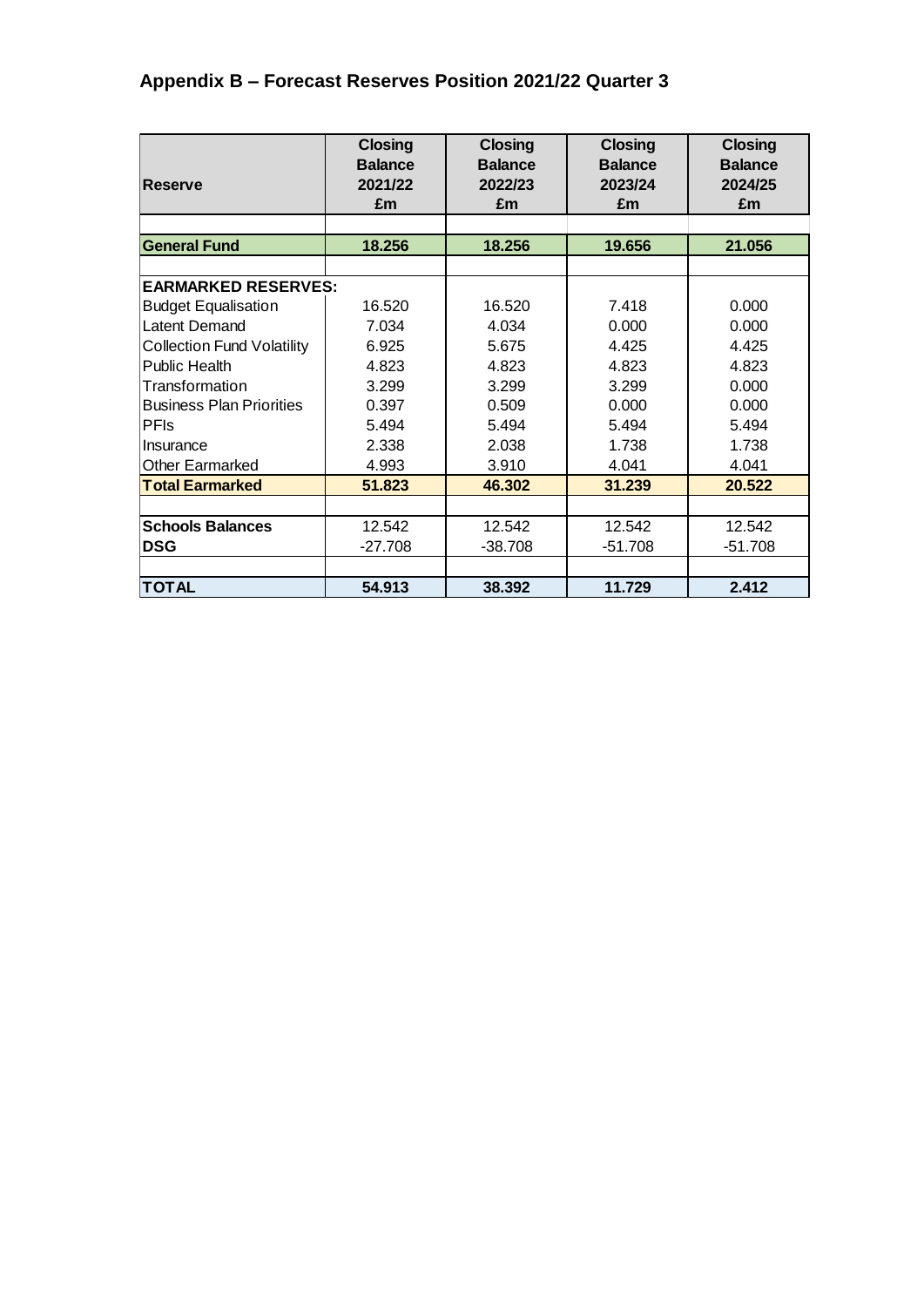## **Appendix B – Forecast Reserves Position 2021/22 Quarter 3**

|                                   | <b>Closing</b> | <b>Closing</b> | <b>Closing</b> | <b>Closing</b> |
|-----------------------------------|----------------|----------------|----------------|----------------|
|                                   | <b>Balance</b> | <b>Balance</b> | <b>Balance</b> | <b>Balance</b> |
| <b>Reserve</b>                    | 2021/22        | 2022/23        | 2023/24        | 2024/25        |
|                                   | £m             | £m             | £m             | £m             |
|                                   |                |                |                |                |
| <b>General Fund</b>               | 18.256         | 18.256         | 19.656         | 21.056         |
|                                   |                |                |                |                |
| <b>EARMARKED RESERVES:</b>        |                |                |                |                |
| <b>Budget Equalisation</b>        | 16.520         | 16.520         | 7.418          | 0.000          |
| <b>Latent Demand</b>              | 7.034          | 4.034          | 0.000          | 0.000          |
| <b>Collection Fund Volatility</b> | 6.925          | 5.675          | 4.425          | 4.425          |
| Public Health                     | 4.823          | 4.823          | 4.823          | 4.823          |
| Transformation                    | 3.299          | 3.299          | 3.299          | 0.000          |
| <b>Business Plan Priorities</b>   | 0.397          | 0.509          | 0.000          | 0.000          |
| <b>PFIs</b>                       | 5.494          | 5.494          | 5.494          | 5.494          |
| Ilnsurance                        | 2.338          | 2.038          | 1.738          | 1.738          |
| <b>Other Earmarked</b>            | 4.993          | 3.910          | 4.041          | 4.041          |
| <b>Total Earmarked</b>            | 51.823         | 46.302         | 31.239         | 20.522         |
|                                   |                |                |                |                |
| <b>Schools Balances</b>           | 12.542         | 12.542         | 12.542         | 12.542         |
| <b>DSG</b>                        | $-27.708$      | $-38.708$      | $-51.708$      | $-51.708$      |
|                                   |                |                |                |                |
| <b>TOTAL</b>                      | 54.913         | 38.392         | 11.729         | 2.412          |